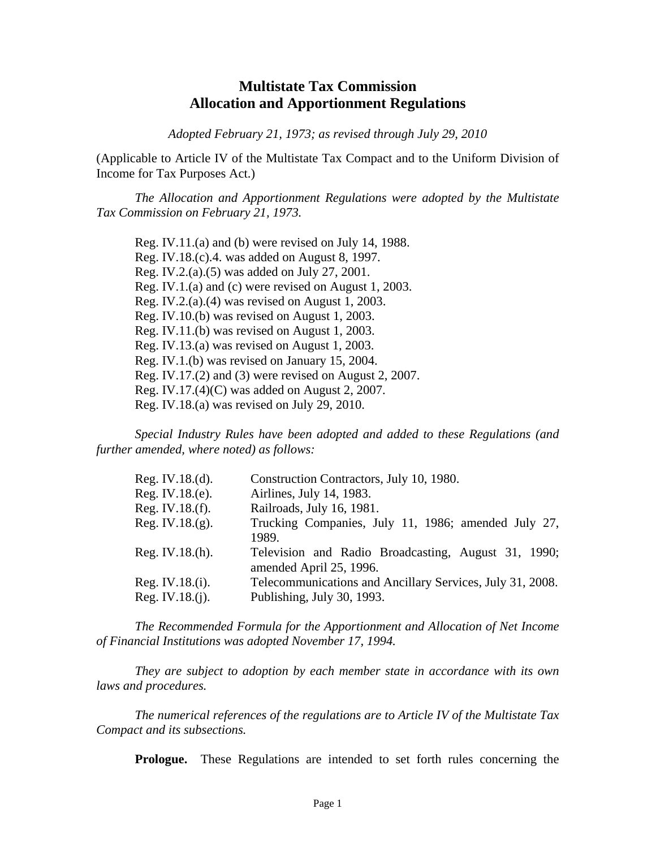# **Multistate Tax Commission Allocation and Apportionment Regulations**

*Adopted February 21, 1973; as revised through July 29, 2010*

(Applicable to Article IV of the Multistate Tax Compact and to the Uniform Division of Income for Tax Purposes Act.)

*The Allocation and Apportionment Regulations were adopted by the Multistate Tax Commission on February 21, 1973.* 

Reg. IV.11.(a) and (b) were revised on July 14, 1988. Reg. IV.18.(c).4. was added on August 8, 1997. Reg. IV.2.(a).(5) was added on July 27, 2001. Reg. IV.1.(a) and (c) were revised on August 1, 2003. Reg. IV.2.(a).(4) was revised on August 1, 2003. Reg. IV.10.(b) was revised on August 1, 2003. Reg. IV.11.(b) was revised on August 1, 2003. Reg. IV.13.(a) was revised on August 1, 2003. Reg. IV.1.(b) was revised on January 15, 2004. Reg. IV.17.(2) and (3) were revised on August 2, 2007. Reg. IV.17.(4)(C) was added on August 2, 2007. Reg. IV.18.(a) was revised on July 29, 2010.

 *Special Industry Rules have been adopted and added to these Regulations (and further amended, where noted) as follows:*

| Reg. IV.18. $(d)$ . | Construction Contractors, July 10, 1980.                  |  |  |
|---------------------|-----------------------------------------------------------|--|--|
| Reg. IV. $18.(e)$ . | Airlines, July 14, 1983.                                  |  |  |
| Reg. IV.18. $(f)$ . | Railroads, July 16, 1981.                                 |  |  |
| Reg. IV.18. $(g)$ . | Trucking Companies, July 11, 1986; amended July 27,       |  |  |
|                     | 1989.                                                     |  |  |
| Reg. IV.18(h).      | Television and Radio Broadcasting, August 31, 1990;       |  |  |
|                     | amended April 25, 1996.                                   |  |  |
| Reg. IV.18. $(i)$ . | Telecommunications and Ancillary Services, July 31, 2008. |  |  |
| Reg. IV.18. $(i)$ . | Publishing, July 30, 1993.                                |  |  |

*The Recommended Formula for the Apportionment and Allocation of Net Income of Financial Institutions was adopted November 17, 1994.* 

*They are subject to adoption by each member state in accordance with its own laws and procedures.*

*The numerical references of the regulations are to Article IV of the Multistate Tax Compact and its subsections.* 

 **Prologue.** These Regulations are intended to set forth rules concerning the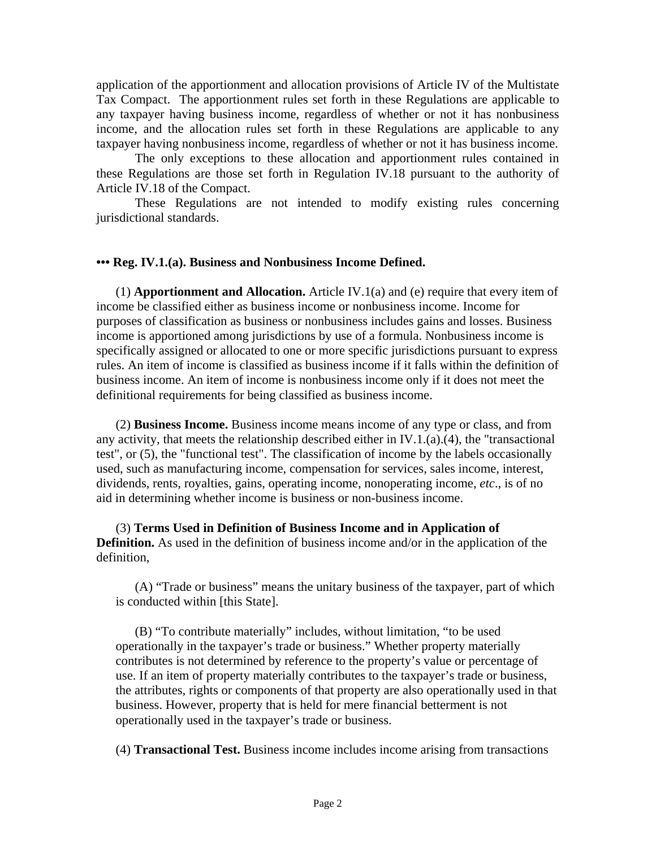application of the apportionment and allocation provisions of Article IV of the Multistate Tax Compact. The apportionment rules set forth in these Regulations are applicable to any taxpayer having business income, regardless of whether or not it has nonbusiness income, and the allocation rules set forth in these Regulations are applicable to any taxpayer having nonbusiness income, regardless of whether or not it has business income.

 The only exceptions to these allocation and apportionment rules contained in these Regulations are those set forth in Regulation IV.18 pursuant to the authority of Article IV.18 of the Compact.

 These Regulations are not intended to modify existing rules concerning jurisdictional standards.

#### **••• Reg. IV.1.(a). Business and Nonbusiness Income Defined.**

(1) **Apportionment and Allocation.** Article IV.1(a) and (e) require that every item of income be classified either as business income or nonbusiness income. Income for purposes of classification as business or nonbusiness includes gains and losses. Business income is apportioned among jurisdictions by use of a formula. Nonbusiness income is specifically assigned or allocated to one or more specific jurisdictions pursuant to express rules. An item of income is classified as business income if it falls within the definition of business income. An item of income is nonbusiness income only if it does not meet the definitional requirements for being classified as business income.

(2) **Business Income.** Business income means income of any type or class, and from any activity, that meets the relationship described either in IV.1.(a).(4), the "transactional test", or (5), the "functional test". The classification of income by the labels occasionally used, such as manufacturing income, compensation for services, sales income, interest, dividends, rents, royalties, gains, operating income, nonoperating income, *etc*., is of no aid in determining whether income is business or non-business income.

(3) **Terms Used in Definition of Business Income and in Application of Definition.** As used in the definition of business income and/or in the application of the definition,

(A) "Trade or business" means the unitary business of the taxpayer, part of which is conducted within [this State].

(B) "To contribute materially" includes, without limitation, "to be used operationally in the taxpayer's trade or business." Whether property materially contributes is not determined by reference to the property's value or percentage of use. If an item of property materially contributes to the taxpayer's trade or business, the attributes, rights or components of that property are also operationally used in that business. However, property that is held for mere financial betterment is not operationally used in the taxpayer's trade or business.

(4) **Transactional Test.** Business income includes income arising from transactions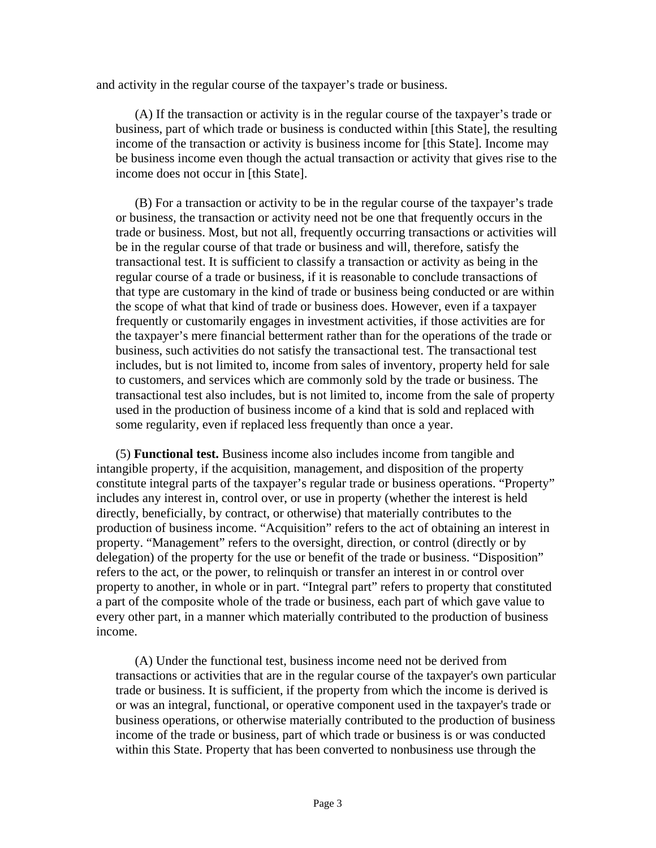and activity in the regular course of the taxpayer's trade or business.

(A) If the transaction or activity is in the regular course of the taxpayer's trade or business, part of which trade or business is conducted within [this State], the resulting income of the transaction or activity is business income for [this State]. Income may be business income even though the actual transaction or activity that gives rise to the income does not occur in [this State].

(B) For a transaction or activity to be in the regular course of the taxpayer's trade or busines*s,* the transaction or activity need not be one that frequently occurs in the trade or business. Most, but not all, frequently occurring transactions or activities will be in the regular course of that trade or business and will, therefore, satisfy the transactional test. It is sufficient to classify a transaction or activity as being in the regular course of a trade or business, if it is reasonable to conclude transactions of that type are customary in the kind of trade or business being conducted or are within the scope of what that kind of trade or business does. However, even if a taxpayer frequently or customarily engages in investment activities, if those activities are for the taxpayer's mere financial betterment rather than for the operations of the trade or business, such activities do not satisfy the transactional test. The transactional test includes, but is not limited to, income from sales of inventory, property held for sale to customers, and services which are commonly sold by the trade or business. The transactional test also includes, but is not limited to, income from the sale of property used in the production of business income of a kind that is sold and replaced with some regularity, even if replaced less frequently than once a year.

(5) **Functional test.** Business income also includes income from tangible and intangible property, if the acquisition, management, and disposition of the property constitute integral parts of the taxpayer's regular trade or business operations. "Property" includes any interest in, control over, or use in property (whether the interest is held directly, beneficially, by contract, or otherwise) that materially contributes to the production of business income. "Acquisition" refers to the act of obtaining an interest in property. "Management" refers to the oversight, direction, or control (directly or by delegation) of the property for the use or benefit of the trade or business. "Disposition" refers to the act, or the power, to relinquish or transfer an interest in or control over property to another, in whole or in part. "Integral part" refers to property that constituted a part of the composite whole of the trade or business, each part of which gave value to every other part, in a manner which materially contributed to the production of business income.

(A) Under the functional test, business income need not be derived from transactions or activities that are in the regular course of the taxpayer's own particular trade or business. It is sufficient, if the property from which the income is derived is or was an integral, functional, or operative component used in the taxpayer's trade or business operations, or otherwise materially contributed to the production of business income of the trade or business, part of which trade or business is or was conducted within this State. Property that has been converted to nonbusiness use through the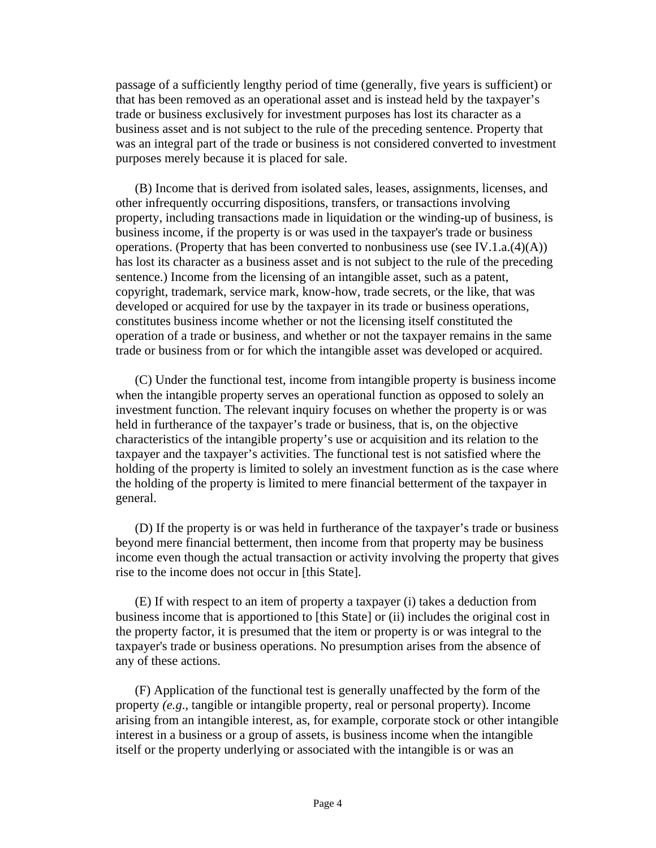passage of a sufficiently lengthy period of time (generally, five years is sufficient) or that has been removed as an operational asset and is instead held by the taxpayer's trade or business exclusively for investment purposes has lost its character as a business asset and is not subject to the rule of the preceding sentence. Property that was an integral part of the trade or business is not considered converted to investment purposes merely because it is placed for sale.

(B) Income that is derived from isolated sales, leases, assignments, licenses, and other infrequently occurring dispositions, transfers, or transactions involving property, including transactions made in liquidation or the winding-up of business, is business income, if the property is or was used in the taxpayer's trade or business operations. (Property that has been converted to nonbusiness use (see IV.1.a. $(4)(A)$ ) has lost its character as a business asset and is not subject to the rule of the preceding sentence.) Income from the licensing of an intangible asset, such as a patent, copyright, trademark, service mark, know-how, trade secrets, or the like, that was developed or acquired for use by the taxpayer in its trade or business operations, constitutes business income whether or not the licensing itself constituted the operation of a trade or business, and whether or not the taxpayer remains in the same trade or business from or for which the intangible asset was developed or acquired.

(C) Under the functional test, income from intangible property is business income when the intangible property serves an operational function as opposed to solely an investment function. The relevant inquiry focuses on whether the property is or was held in furtherance of the taxpayer's trade or business, that is, on the objective characteristics of the intangible property's use or acquisition and its relation to the taxpayer and the taxpayer's activities. The functional test is not satisfied where the holding of the property is limited to solely an investment function as is the case where the holding of the property is limited to mere financial betterment of the taxpayer in general.

(D) If the property is or was held in furtherance of the taxpayer's trade or business beyond mere financial betterment, then income from that property may be business income even though the actual transaction or activity involving the property that gives rise to the income does not occur in [this State].

(E) If with respect to an item of property a taxpayer (i) takes a deduction from business income that is apportioned to [this State] or (ii) includes the original cost in the property factor, it is presumed that the item or property is or was integral to the taxpayer's trade or business operations. No presumption arises from the absence of any of these actions.

(F) Application of the functional test is generally unaffected by the form of the property *(e.g*., tangible or intangible property, real or personal property). Income arising from an intangible interest, as, for example, corporate stock or other intangible interest in a business or a group of assets, is business income when the intangible itself or the property underlying or associated with the intangible is or was an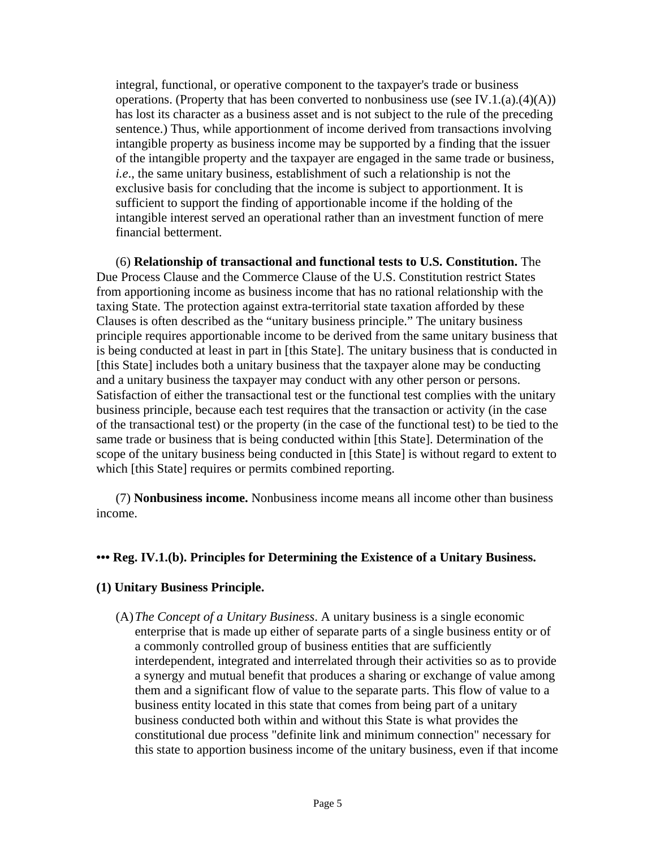integral, functional, or operative component to the taxpayer's trade or business operations. (Property that has been converted to nonbusiness use (see IV.1.(a).(4)(A)) has lost its character as a business asset and is not subject to the rule of the preceding sentence.) Thus, while apportionment of income derived from transactions involving intangible property as business income may be supported by a finding that the issuer of the intangible property and the taxpayer are engaged in the same trade or business, *i.e*., the same unitary business, establishment of such a relationship is not the exclusive basis for concluding that the income is subject to apportionment. It is sufficient to support the finding of apportionable income if the holding of the intangible interest served an operational rather than an investment function of mere financial betterment.

(6) **Relationship of transactional and functional tests to U.S. Constitution.** The Due Process Clause and the Commerce Clause of the U.S. Constitution restrict States from apportioning income as business income that has no rational relationship with the taxing State. The protection against extra-territorial state taxation afforded by these Clauses is often described as the "unitary business principle." The unitary business principle requires apportionable income to be derived from the same unitary business that is being conducted at least in part in [this State]. The unitary business that is conducted in [this State] includes both a unitary business that the taxpayer alone may be conducting and a unitary business the taxpayer may conduct with any other person or persons. Satisfaction of either the transactional test or the functional test complies with the unitary business principle, because each test requires that the transaction or activity (in the case of the transactional test) or the property (in the case of the functional test) to be tied to the same trade or business that is being conducted within [this State]. Determination of the scope of the unitary business being conducted in [this State] is without regard to extent to which [this State] requires or permits combined reporting.

(7) **Nonbusiness income.** Nonbusiness income means all income other than business income.

#### **••• Reg. IV.1.(b). Principles for Determining the Existence of a Unitary Business.**

#### **(1) Unitary Business Principle.**

(A) *The Concept of a Unitary Business*. A unitary business is a single economic enterprise that is made up either of separate parts of a single business entity or of a commonly controlled group of business entities that are sufficiently interdependent, integrated and interrelated through their activities so as to provide a synergy and mutual benefit that produces a sharing or exchange of value among them and a significant flow of value to the separate parts. This flow of value to a business entity located in this state that comes from being part of a unitary business conducted both within and without this State is what provides the constitutional due process "definite link and minimum connection" necessary for this state to apportion business income of the unitary business, even if that income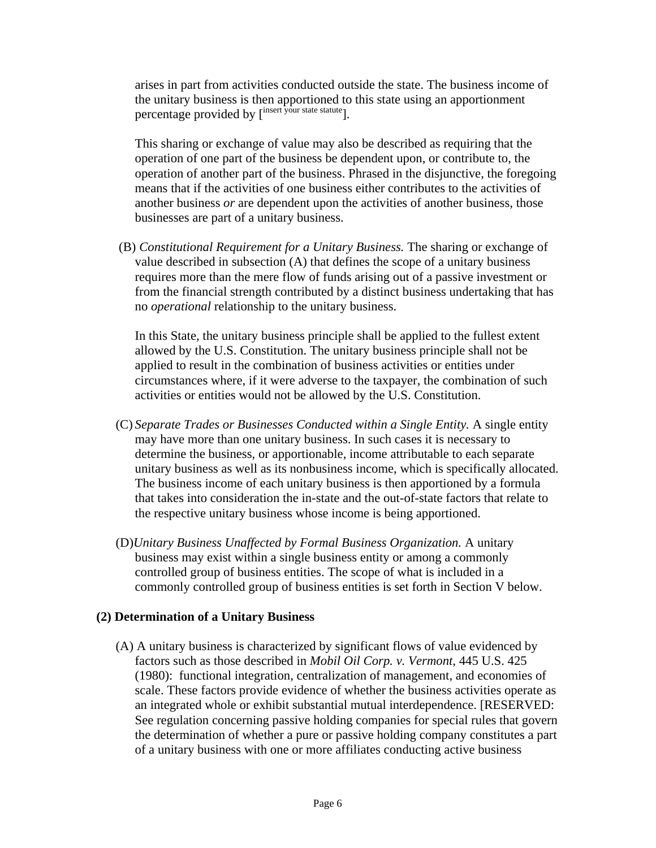arises in part from activities conducted outside the state. The business income of the unitary business is then apportioned to this state using an apportionment percentage provided by  $\int_0^{\text{insert your state statistic}}$ .

This sharing or exchange of value may also be described as requiring that the operation of one part of the business be dependent upon, or contribute to, the operation of another part of the business. Phrased in the disjunctive, the foregoing means that if the activities of one business either contributes to the activities of another business *or* are dependent upon the activities of another business, those businesses are part of a unitary business.

 (B) *Constitutional Requirement for a Unitary Business.* The sharing or exchange of value described in subsection (A) that defines the scope of a unitary business requires more than the mere flow of funds arising out of a passive investment or from the financial strength contributed by a distinct business undertaking that has no *operational* relationship to the unitary business.

In this State, the unitary business principle shall be applied to the fullest extent allowed by the U.S. Constitution. The unitary business principle shall not be applied to result in the combination of business activities or entities under circumstances where, if it were adverse to the taxpayer, the combination of such activities or entities would not be allowed by the U.S. Constitution.

- (C) *Separate Trades or Businesses Conducted within a Single Entity.* A single entity may have more than one unitary business. In such cases it is necessary to determine the business, or apportionable, income attributable to each separate unitary business as well as its nonbusiness income, which is specifically allocated. The business income of each unitary business is then apportioned by a formula that takes into consideration the in-state and the out-of-state factors that relate to the respective unitary business whose income is being apportioned.
- (D)*Unitary Business Unaffected by Formal Business Organization.* A unitary business may exist within a single business entity or among a commonly controlled group of business entities. The scope of what is included in a commonly controlled group of business entities is set forth in Section V below.

#### **(2) Determination of a Unitary Business**

(A) A unitary business is characterized by significant flows of value evidenced by factors such as those described in *Mobil Oil Corp. v. Vermont*, 445 U.S. 425 (1980): functional integration, centralization of management, and economies of scale. These factors provide evidence of whether the business activities operate as an integrated whole or exhibit substantial mutual interdependence. [RESERVED: See regulation concerning passive holding companies for special rules that govern the determination of whether a pure or passive holding company constitutes a part of a unitary business with one or more affiliates conducting active business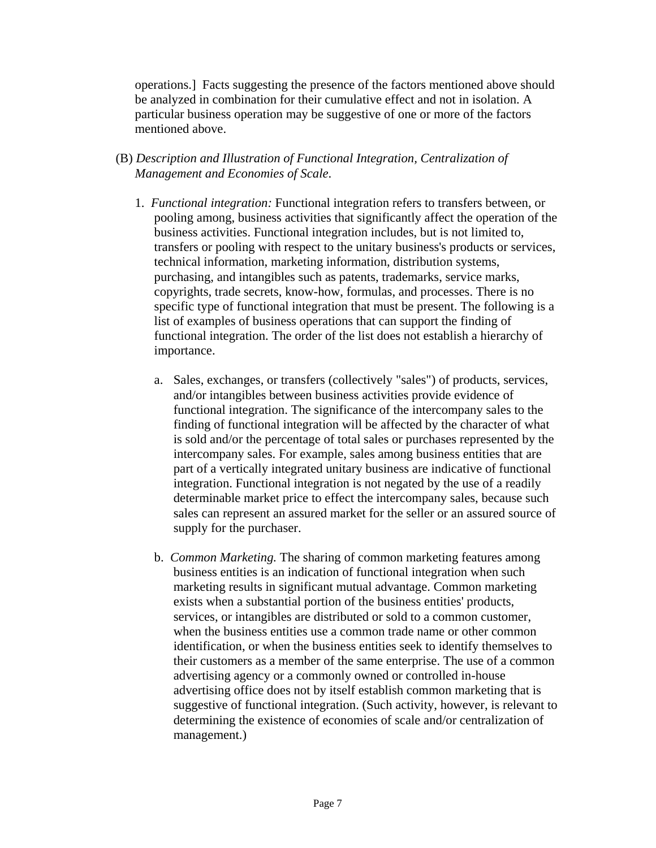operations.] Facts suggesting the presence of the factors mentioned above should be analyzed in combination for their cumulative effect and not in isolation. A particular business operation may be suggestive of one or more of the factors mentioned above.

- (B) *Description and Illustration of Functional Integration, Centralization of Management and Economies of Scale*.
	- 1. *Functional integration:* Functional integration refers to transfers between, or pooling among, business activities that significantly affect the operation of the business activities. Functional integration includes, but is not limited to, transfers or pooling with respect to the unitary business's products or services, technical information, marketing information, distribution systems, purchasing, and intangibles such as patents, trademarks, service marks, copyrights, trade secrets, know-how, formulas, and processes. There is no specific type of functional integration that must be present. The following is a list of examples of business operations that can support the finding of functional integration. The order of the list does not establish a hierarchy of importance.
		- a. Sales, exchanges, or transfers (collectively "sales") of products, services, and/or intangibles between business activities provide evidence of functional integration. The significance of the intercompany sales to the finding of functional integration will be affected by the character of what is sold and/or the percentage of total sales or purchases represented by the intercompany sales. For example, sales among business entities that are part of a vertically integrated unitary business are indicative of functional integration. Functional integration is not negated by the use of a readily determinable market price to effect the intercompany sales, because such sales can represent an assured market for the seller or an assured source of supply for the purchaser.
		- b. *Common Marketing.* The sharing of common marketing features among business entities is an indication of functional integration when such marketing results in significant mutual advantage. Common marketing exists when a substantial portion of the business entities' products, services, or intangibles are distributed or sold to a common customer, when the business entities use a common trade name or other common identification, or when the business entities seek to identify themselves to their customers as a member of the same enterprise. The use of a common advertising agency or a commonly owned or controlled in-house advertising office does not by itself establish common marketing that is suggestive of functional integration. (Such activity, however, is relevant to determining the existence of economies of scale and/or centralization of management.)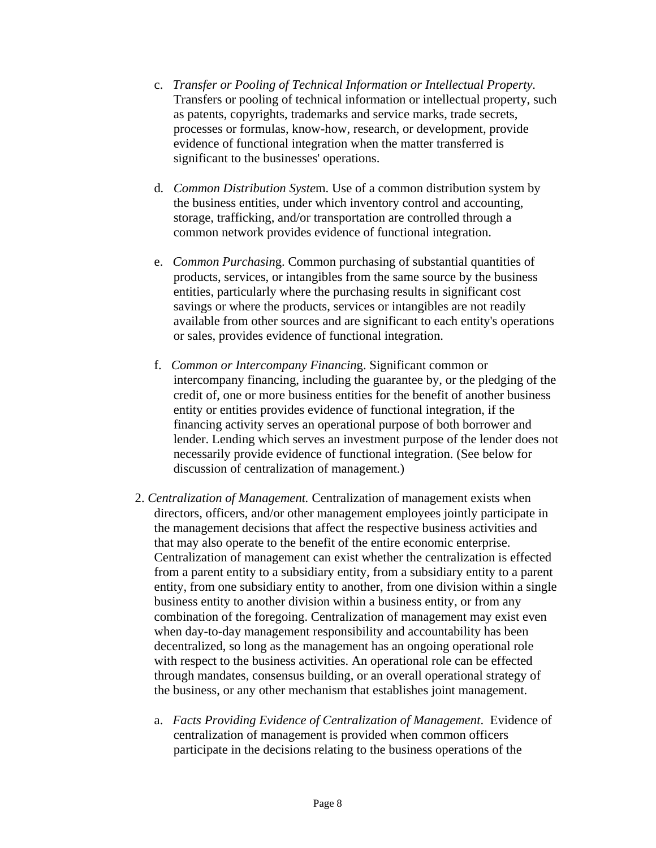- c. *Transfer or Pooling of Technical Information or Intellectual Property.*  Transfers or pooling of technical information or intellectual property, such as patents, copyrights, trademarks and service marks, trade secrets, processes or formulas, know-how, research, or development, provide evidence of functional integration when the matter transferred is significant to the businesses' operations.
- d*. Common Distribution Syste*m. Use of a common distribution system by the business entities, under which inventory control and accounting, storage, trafficking, and/or transportation are controlled through a common network provides evidence of functional integration.
- e. *Common Purchasin*g. Common purchasing of substantial quantities of products, services, or intangibles from the same source by the business entities, particularly where the purchasing results in significant cost savings or where the products, services or intangibles are not readily available from other sources and are significant to each entity's operations or sales, provides evidence of functional integration.
- f. *Common or Intercompany Financin*g. Significant common or intercompany financing, including the guarantee by, or the pledging of the credit of, one or more business entities for the benefit of another business entity or entities provides evidence of functional integration, if the financing activity serves an operational purpose of both borrower and lender. Lending which serves an investment purpose of the lender does not necessarily provide evidence of functional integration. (See below for discussion of centralization of management.)
- 2. *Centralization of Management.* Centralization of management exists when directors, officers, and/or other management employees jointly participate in the management decisions that affect the respective business activities and that may also operate to the benefit of the entire economic enterprise. Centralization of management can exist whether the centralization is effected from a parent entity to a subsidiary entity, from a subsidiary entity to a parent entity, from one subsidiary entity to another, from one division within a single business entity to another division within a business entity, or from any combination of the foregoing. Centralization of management may exist even when day-to-day management responsibility and accountability has been decentralized, so long as the management has an ongoing operational role with respect to the business activities. An operational role can be effected through mandates, consensus building, or an overall operational strategy of the business, or any other mechanism that establishes joint management.
	- a. *Facts Providing Evidence of Centralization of Management*. Evidence of centralization of management is provided when common officers participate in the decisions relating to the business operations of the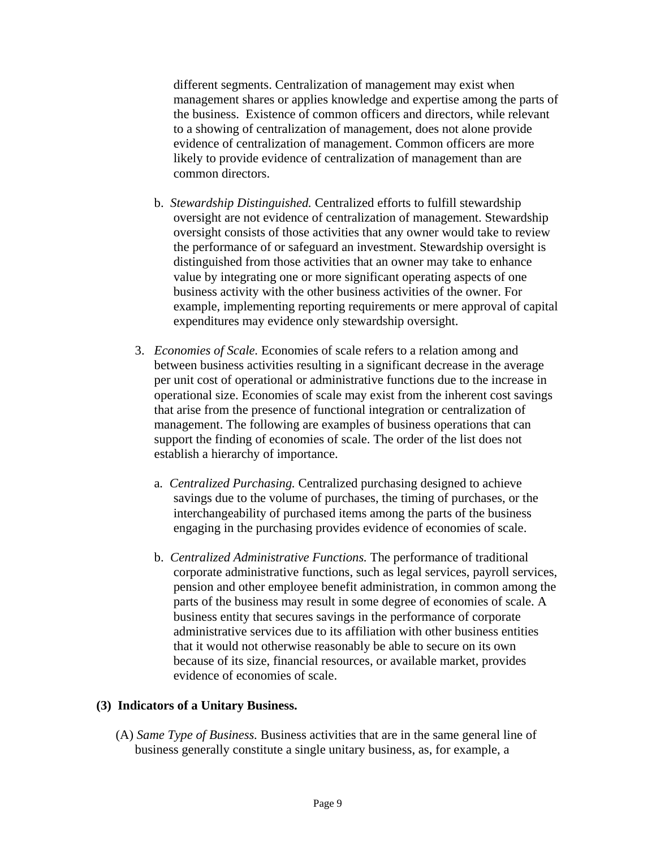different segments. Centralization of management may exist when management shares or applies knowledge and expertise among the parts of the business. Existence of common officers and directors, while relevant to a showing of centralization of management, does not alone provide evidence of centralization of management. Common officers are more likely to provide evidence of centralization of management than are common directors.

- b. *Stewardship Distinguished.* Centralized efforts to fulfill stewardship oversight are not evidence of centralization of management. Stewardship oversight consists of those activities that any owner would take to review the performance of or safeguard an investment. Stewardship oversight is distinguished from those activities that an owner may take to enhance value by integrating one or more significant operating aspects of one business activity with the other business activities of the owner. For example, implementing reporting requirements or mere approval of capital expenditures may evidence only stewardship oversight.
- 3. *Economies of Scale.* Economies of scale refers to a relation among and between business activities resulting in a significant decrease in the average per unit cost of operational or administrative functions due to the increase in operational size. Economies of scale may exist from the inherent cost savings that arise from the presence of functional integration or centralization of management. The following are examples of business operations that can support the finding of economies of scale. The order of the list does not establish a hierarchy of importance.
	- a*. Centralized Purchasing.* Centralized purchasing designed to achieve savings due to the volume of purchases, the timing of purchases, or the interchangeability of purchased items among the parts of the business engaging in the purchasing provides evidence of economies of scale.
	- b. *Centralized Administrative Functions.* The performance of traditional corporate administrative functions, such as legal services, payroll services, pension and other employee benefit administration, in common among the parts of the business may result in some degree of economies of scale. A business entity that secures savings in the performance of corporate administrative services due to its affiliation with other business entities that it would not otherwise reasonably be able to secure on its own because of its size, financial resources, or available market, provides evidence of economies of scale.

#### **(3) Indicators of a Unitary Business.**

(A) *Same Type of Business.* Business activities that are in the same general line of business generally constitute a single unitary business, as, for example, a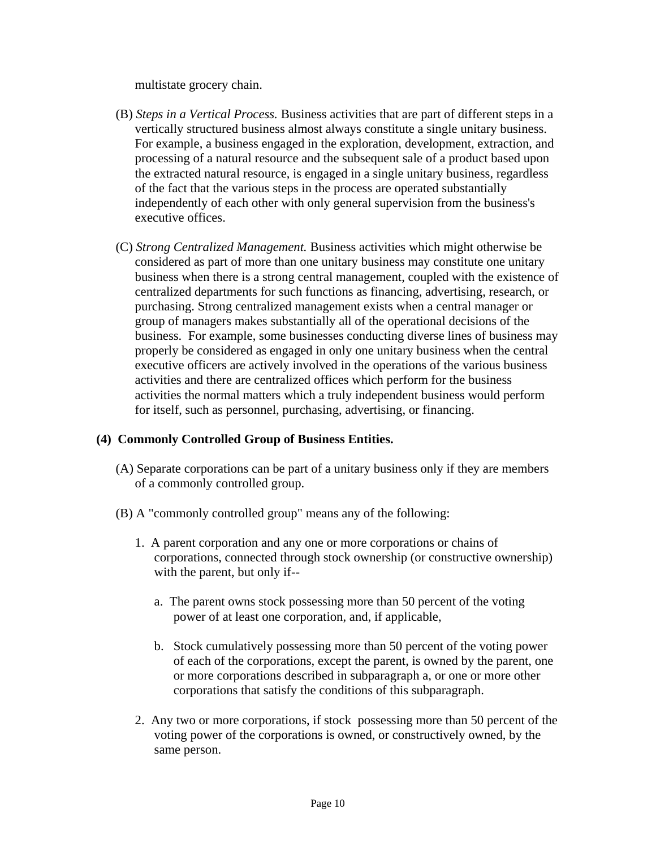multistate grocery chain.

- (B) *Steps in a Vertical Process.* Business activities that are part of different steps in a vertically structured business almost always constitute a single unitary business. For example, a business engaged in the exploration, development, extraction, and processing of a natural resource and the subsequent sale of a product based upon the extracted natural resource, is engaged in a single unitary business, regardless of the fact that the various steps in the process are operated substantially independently of each other with only general supervision from the business's executive offices.
- (C) *Strong Centralized Management.* Business activities which might otherwise be considered as part of more than one unitary business may constitute one unitary business when there is a strong central management, coupled with the existence of centralized departments for such functions as financing, advertising, research, or purchasing. Strong centralized management exists when a central manager or group of managers makes substantially all of the operational decisions of the business. For example, some businesses conducting diverse lines of business may properly be considered as engaged in only one unitary business when the central executive officers are actively involved in the operations of the various business activities and there are centralized offices which perform for the business activities the normal matters which a truly independent business would perform for itself, such as personnel, purchasing, advertising, or financing.

### **(4) Commonly Controlled Group of Business Entities.**

- (A) Separate corporations can be part of a unitary business only if they are members of a commonly controlled group.
- (B) A "commonly controlled group" means any of the following:
	- 1. A parent corporation and any one or more corporations or chains of corporations, connected through stock ownership (or constructive ownership) with the parent, but only if-
		- a. The parent owns stock possessing more than 50 percent of the voting power of at least one corporation, and, if applicable,
		- b. Stock cumulatively possessing more than 50 percent of the voting power of each of the corporations, except the parent, is owned by the parent, one or more corporations described in subparagraph a, or one or more other corporations that satisfy the conditions of this subparagraph.
	- 2. Any two or more corporations, if stock possessing more than 50 percent of the voting power of the corporations is owned, or constructively owned, by the same person.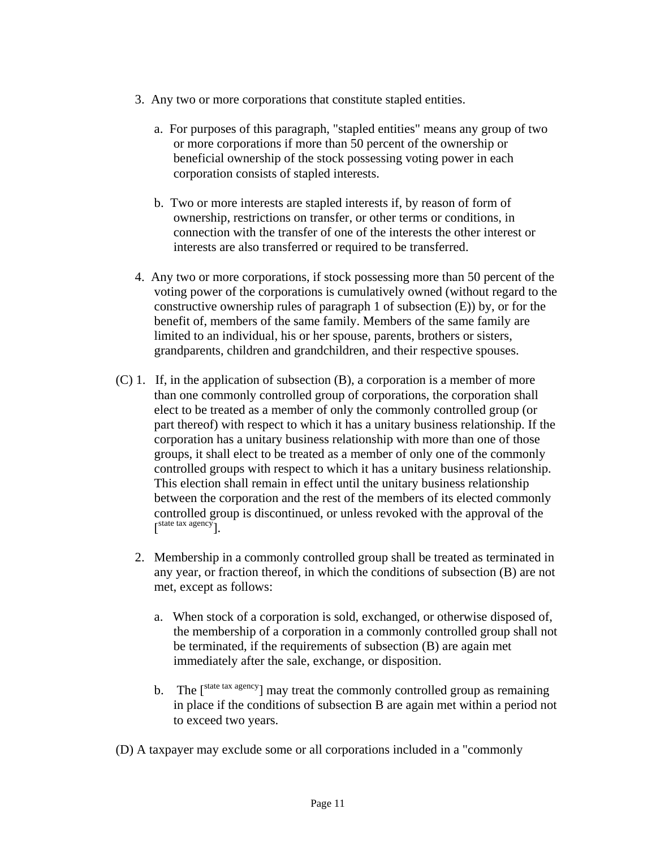- 3. Any two or more corporations that constitute stapled entities.
	- a. For purposes of this paragraph, "stapled entities" means any group of two or more corporations if more than 50 percent of the ownership or beneficial ownership of the stock possessing voting power in each corporation consists of stapled interests.
	- b. Two or more interests are stapled interests if, by reason of form of ownership, restrictions on transfer, or other terms or conditions, in connection with the transfer of one of the interests the other interest or interests are also transferred or required to be transferred.
- 4. Any two or more corporations, if stock possessing more than 50 percent of the voting power of the corporations is cumulatively owned (without regard to the constructive ownership rules of paragraph 1 of subsection (E)) by, or for the benefit of, members of the same family. Members of the same family are limited to an individual, his or her spouse, parents, brothers or sisters, grandparents, children and grandchildren, and their respective spouses.
- (C) 1. If, in the application of subsection (B), a corporation is a member of more than one commonly controlled group of corporations, the corporation shall elect to be treated as a member of only the commonly controlled group (or part thereof) with respect to which it has a unitary business relationship. If the corporation has a unitary business relationship with more than one of those groups, it shall elect to be treated as a member of only one of the commonly controlled groups with respect to which it has a unitary business relationship. This election shall remain in effect until the unitary business relationship between the corporation and the rest of the members of its elected commonly controlled group is discontinued, or unless revoked with the approval of the [<sup>state tax agency</sup>].
	- 2. Membership in a commonly controlled group shall be treated as terminated in any year, or fraction thereof, in which the conditions of subsection (B) are not met, except as follows:
		- a. When stock of a corporation is sold, exchanged, or otherwise disposed of, the membership of a corporation in a commonly controlled group shall not be terminated, if the requirements of subsection (B) are again met immediately after the sale, exchange, or disposition.
		- b. The [<sup>state tax agency</sup>] may treat the commonly controlled group as remaining in place if the conditions of subsection B are again met within a period not to exceed two years.
- (D) A taxpayer may exclude some or all corporations included in a "commonly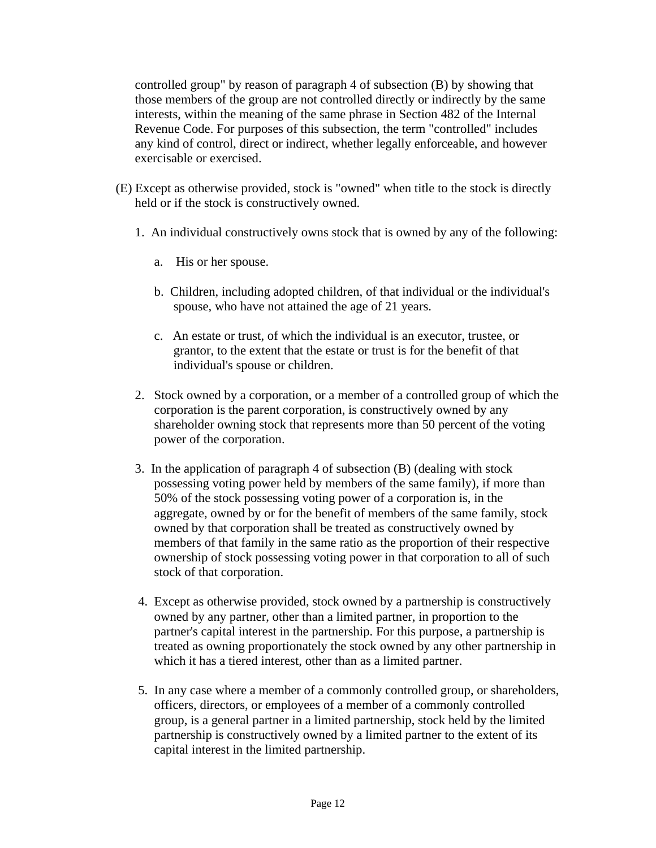controlled group" by reason of paragraph 4 of subsection (B) by showing that those members of the group are not controlled directly or indirectly by the same interests, within the meaning of the same phrase in Section 482 of the Internal Revenue Code. For purposes of this subsection, the term "controlled" includes any kind of control, direct or indirect, whether legally enforceable, and however exercisable or exercised.

- (E) Except as otherwise provided, stock is "owned" when title to the stock is directly held or if the stock is constructively owned.
	- 1. An individual constructively owns stock that is owned by any of the following:
		- a. His or her spouse.
		- b. Children, including adopted children, of that individual or the individual's spouse, who have not attained the age of 21 years.
		- c. An estate or trust, of which the individual is an executor, trustee, or grantor, to the extent that the estate or trust is for the benefit of that individual's spouse or children.
	- 2. Stock owned by a corporation, or a member of a controlled group of which the corporation is the parent corporation, is constructively owned by any shareholder owning stock that represents more than 50 percent of the voting power of the corporation.
	- 3. In the application of paragraph 4 of subsection (B) (dealing with stock possessing voting power held by members of the same family), if more than 50% of the stock possessing voting power of a corporation is, in the aggregate, owned by or for the benefit of members of the same family, stock owned by that corporation shall be treated as constructively owned by members of that family in the same ratio as the proportion of their respective ownership of stock possessing voting power in that corporation to all of such stock of that corporation.
	- 4. Except as otherwise provided, stock owned by a partnership is constructively owned by any partner, other than a limited partner, in proportion to the partner's capital interest in the partnership. For this purpose, a partnership is treated as owning proportionately the stock owned by any other partnership in which it has a tiered interest, other than as a limited partner.
	- 5. In any case where a member of a commonly controlled group, or shareholders, officers, directors, or employees of a member of a commonly controlled group, is a general partner in a limited partnership, stock held by the limited partnership is constructively owned by a limited partner to the extent of its capital interest in the limited partnership.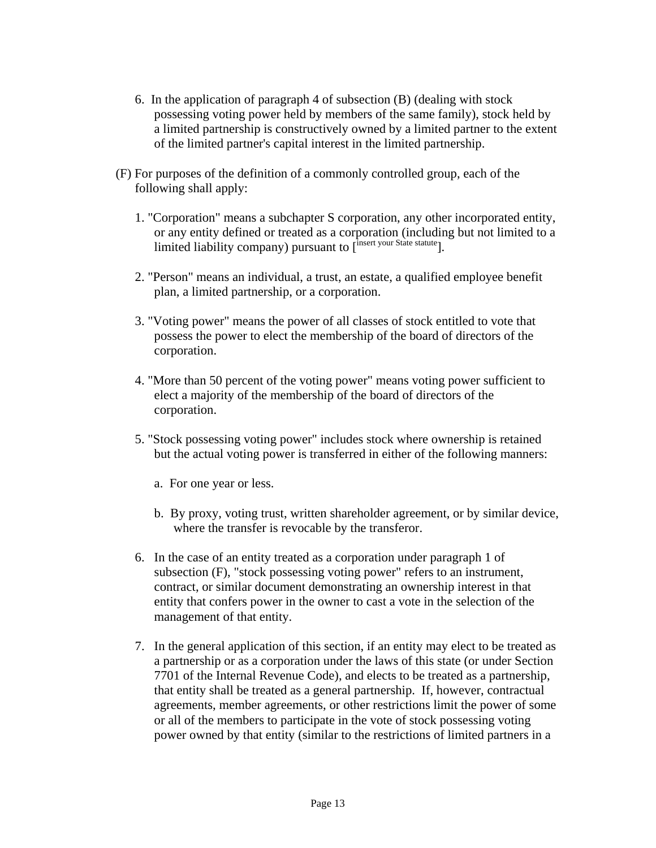- 6. In the application of paragraph 4 of subsection (B) (dealing with stock possessing voting power held by members of the same family), stock held by a limited partnership is constructively owned by a limited partner to the extent of the limited partner's capital interest in the limited partnership.
- (F) For purposes of the definition of a commonly controlled group, each of the following shall apply:
	- 1. "Corporation" means a subchapter S corporation, any other incorporated entity, or any entity defined or treated as a corporation (including but not limited to a limited liability company) pursuant to [insert your State statute].
	- 2. "Person" means an individual, a trust, an estate, a qualified employee benefit plan, a limited partnership, or a corporation.
	- 3. "Voting power" means the power of all classes of stock entitled to vote that possess the power to elect the membership of the board of directors of the corporation.
	- 4. "More than 50 percent of the voting power" means voting power sufficient to elect a majority of the membership of the board of directors of the corporation.
	- 5. "Stock possessing voting power" includes stock where ownership is retained but the actual voting power is transferred in either of the following manners:
		- a. For one year or less.
		- b. By proxy, voting trust, written shareholder agreement, or by similar device, where the transfer is revocable by the transferor.
	- 6. In the case of an entity treated as a corporation under paragraph 1 of subsection (F), "stock possessing voting power" refers to an instrument, contract, or similar document demonstrating an ownership interest in that entity that confers power in the owner to cast a vote in the selection of the management of that entity.
	- 7. In the general application of this section, if an entity may elect to be treated as a partnership or as a corporation under the laws of this state (or under Section 7701 of the Internal Revenue Code), and elects to be treated as a partnership, that entity shall be treated as a general partnership. If, however, contractual agreements, member agreements, or other restrictions limit the power of some or all of the members to participate in the vote of stock possessing voting power owned by that entity (similar to the restrictions of limited partners in a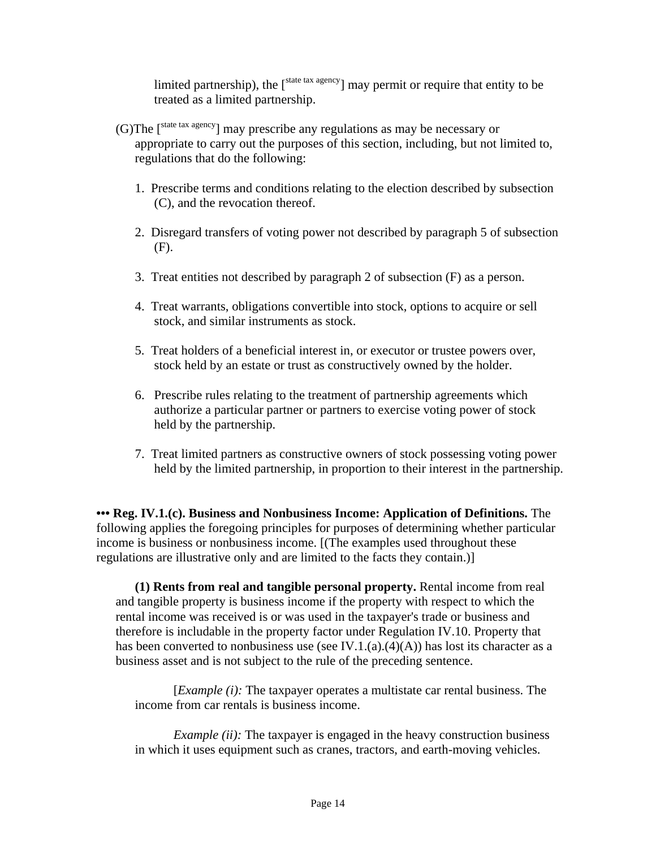limited partnership), the  $\left[\right]$ <sup>state tax agency</sup> may permit or require that entity to be treated as a limited partnership.

- (G)The  $\lceil \frac{\text{state tax agency}}{\text{array}} \rceil$  may prescribe any regulations as may be necessary or appropriate to carry out the purposes of this section, including, but not limited to, regulations that do the following:
	- 1. Prescribe terms and conditions relating to the election described by subsection (C), and the revocation thereof.
	- 2. Disregard transfers of voting power not described by paragraph 5 of subsection (F).
	- 3. Treat entities not described by paragraph 2 of subsection (F) as a person.
	- 4. Treat warrants, obligations convertible into stock, options to acquire or sell stock, and similar instruments as stock.
	- 5. Treat holders of a beneficial interest in, or executor or trustee powers over, stock held by an estate or trust as constructively owned by the holder.
	- 6. Prescribe rules relating to the treatment of partnership agreements which authorize a particular partner or partners to exercise voting power of stock held by the partnership.
	- 7. Treat limited partners as constructive owners of stock possessing voting power held by the limited partnership, in proportion to their interest in the partnership.

**••• Reg. IV.1.(c). Business and Nonbusiness Income: Application of Definitions.** The following applies the foregoing principles for purposes of determining whether particular income is business or nonbusiness income. [(The examples used throughout these regulations are illustrative only and are limited to the facts they contain.)]

**(1) Rents from real and tangible personal property.** Rental income from real and tangible property is business income if the property with respect to which the rental income was received is or was used in the taxpayer's trade or business and therefore is includable in the property factor under Regulation IV.10. Property that has been converted to nonbusiness use (see IV.1.(a).(4)(A)) has lost its character as a business asset and is not subject to the rule of the preceding sentence.

[*Example (i):* The taxpayer operates a multistate car rental business. The income from car rentals is business income.

*Example (ii):* The taxpayer is engaged in the heavy construction business in which it uses equipment such as cranes, tractors, and earth-moving vehicles.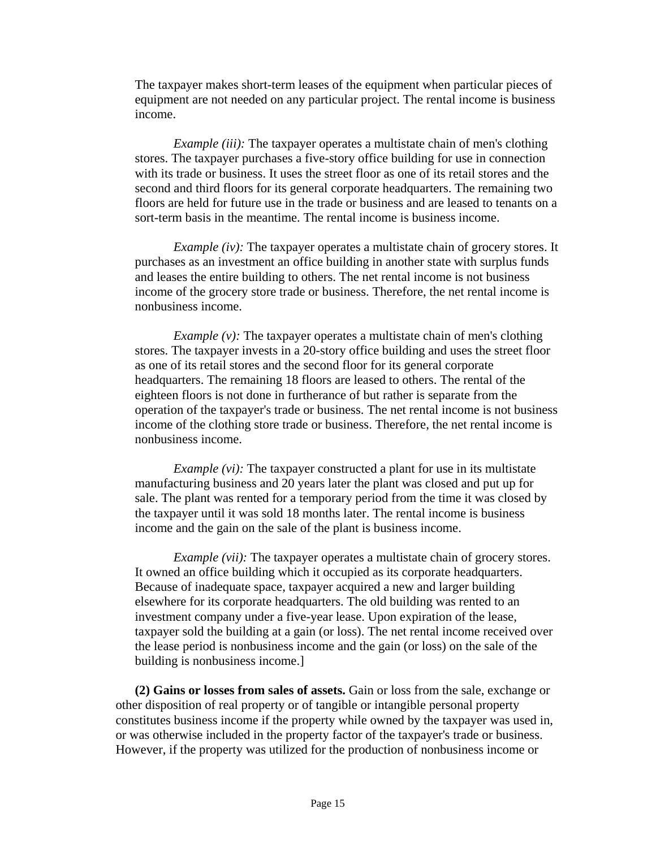The taxpayer makes short-term leases of the equipment when particular pieces of equipment are not needed on any particular project. The rental income is business income.

*Example (iii):* The taxpayer operates a multistate chain of men's clothing stores. The taxpayer purchases a five-story office building for use in connection with its trade or business. It uses the street floor as one of its retail stores and the second and third floors for its general corporate headquarters. The remaining two floors are held for future use in the trade or business and are leased to tenants on a sort-term basis in the meantime. The rental income is business income.

*Example (iv):* The taxpayer operates a multistate chain of grocery stores. It purchases as an investment an office building in another state with surplus funds and leases the entire building to others. The net rental income is not business income of the grocery store trade or business. Therefore, the net rental income is nonbusiness income.

*Example (v):* The taxpayer operates a multistate chain of men's clothing stores. The taxpayer invests in a 20-story office building and uses the street floor as one of its retail stores and the second floor for its general corporate headquarters. The remaining 18 floors are leased to others. The rental of the eighteen floors is not done in furtherance of but rather is separate from the operation of the taxpayer's trade or business. The net rental income is not business income of the clothing store trade or business. Therefore, the net rental income is nonbusiness income.

*Example (vi):* The taxpayer constructed a plant for use in its multistate manufacturing business and 20 years later the plant was closed and put up for sale. The plant was rented for a temporary period from the time it was closed by the taxpayer until it was sold 18 months later. The rental income is business income and the gain on the sale of the plant is business income.

*Example (vii):* The taxpayer operates a multistate chain of grocery stores. It owned an office building which it occupied as its corporate headquarters. Because of inadequate space, taxpayer acquired a new and larger building elsewhere for its corporate headquarters. The old building was rented to an investment company under a five-year lease. Upon expiration of the lease, taxpayer sold the building at a gain (or loss). The net rental income received over the lease period is nonbusiness income and the gain (or loss) on the sale of the building is nonbusiness income.]

**(2) Gains or losses from sales of assets.** Gain or loss from the sale, exchange or other disposition of real property or of tangible or intangible personal property constitutes business income if the property while owned by the taxpayer was used in, or was otherwise included in the property factor of the taxpayer's trade or business. However, if the property was utilized for the production of nonbusiness income or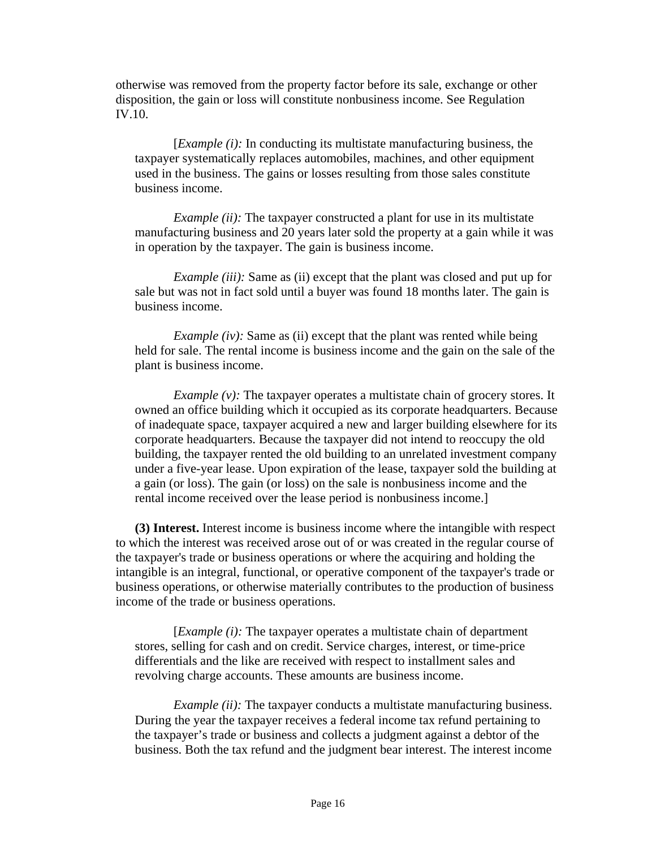otherwise was removed from the property factor before its sale, exchange or other disposition, the gain or loss will constitute nonbusiness income. See Regulation IV.10.

[*Example (i):* In conducting its multistate manufacturing business, the taxpayer systematically replaces automobiles, machines, and other equipment used in the business. The gains or losses resulting from those sales constitute business income.

*Example (ii):* The taxpayer constructed a plant for use in its multistate manufacturing business and 20 years later sold the property at a gain while it was in operation by the taxpayer. The gain is business income.

*Example (iii):* Same as (ii) except that the plant was closed and put up for sale but was not in fact sold until a buyer was found 18 months later. The gain is business income.

*Example (iv):* Same as (ii) except that the plant was rented while being held for sale. The rental income is business income and the gain on the sale of the plant is business income.

*Example (v):* The taxpayer operates a multistate chain of grocery stores. It owned an office building which it occupied as its corporate headquarters. Because of inadequate space, taxpayer acquired a new and larger building elsewhere for its corporate headquarters. Because the taxpayer did not intend to reoccupy the old building, the taxpayer rented the old building to an unrelated investment company under a five-year lease. Upon expiration of the lease, taxpayer sold the building at a gain (or loss). The gain (or loss) on the sale is nonbusiness income and the rental income received over the lease period is nonbusiness income.]

**(3) Interest.** Interest income is business income where the intangible with respect to which the interest was received arose out of or was created in the regular course of the taxpayer's trade or business operations or where the acquiring and holding the intangible is an integral, functional, or operative component of the taxpayer's trade or business operations, or otherwise materially contributes to the production of business income of the trade or business operations.

[*Example (i):* The taxpayer operates a multistate chain of department stores, selling for cash and on credit. Service charges, interest, or time-price differentials and the like are received with respect to installment sales and revolving charge accounts. These amounts are business income.

*Example (ii):* The taxpayer conducts a multistate manufacturing business. During the year the taxpayer receives a federal income tax refund pertaining to the taxpayer's trade or business and collects a judgment against a debtor of the business. Both the tax refund and the judgment bear interest. The interest income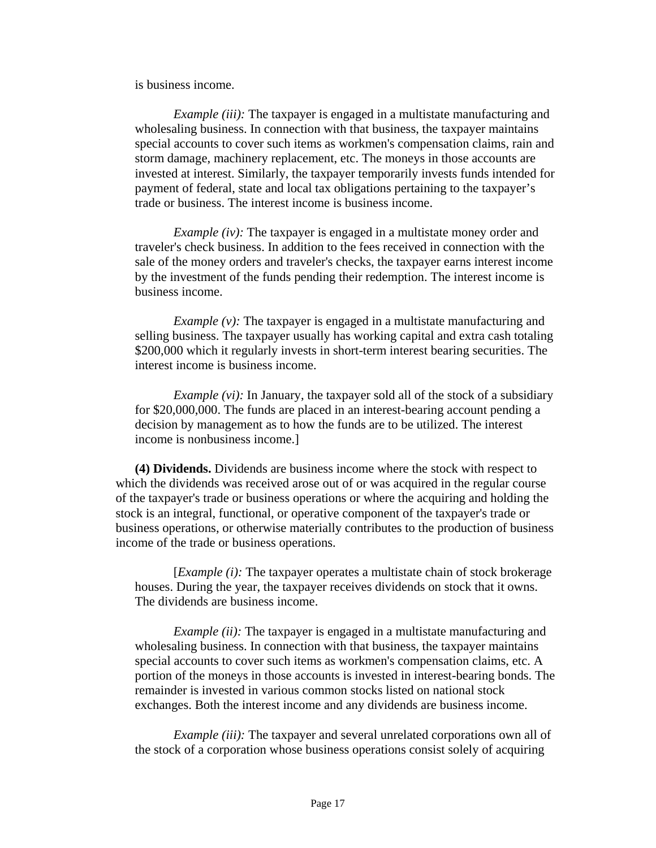is business income.

*Example (iii):* The taxpayer is engaged in a multistate manufacturing and wholesaling business. In connection with that business, the taxpayer maintains special accounts to cover such items as workmen's compensation claims, rain and storm damage, machinery replacement, etc. The moneys in those accounts are invested at interest. Similarly, the taxpayer temporarily invests funds intended for payment of federal, state and local tax obligations pertaining to the taxpayer's trade or business. The interest income is business income.

*Example (iv):* The taxpayer is engaged in a multistate money order and traveler's check business. In addition to the fees received in connection with the sale of the money orders and traveler's checks, the taxpayer earns interest income by the investment of the funds pending their redemption. The interest income is business income.

*Example (v):* The taxpayer is engaged in a multistate manufacturing and selling business. The taxpayer usually has working capital and extra cash totaling \$200,000 which it regularly invests in short-term interest bearing securities. The interest income is business income.

*Example (vi):* In January, the taxpayer sold all of the stock of a subsidiary for \$20,000,000. The funds are placed in an interest-bearing account pending a decision by management as to how the funds are to be utilized. The interest income is nonbusiness income.]

**(4) Dividends.** Dividends are business income where the stock with respect to which the dividends was received arose out of or was acquired in the regular course of the taxpayer's trade or business operations or where the acquiring and holding the stock is an integral, functional, or operative component of the taxpayer's trade or business operations, or otherwise materially contributes to the production of business income of the trade or business operations.

[*Example (i):* The taxpayer operates a multistate chain of stock brokerage houses. During the year, the taxpayer receives dividends on stock that it owns. The dividends are business income.

*Example (ii):* The taxpayer is engaged in a multistate manufacturing and wholesaling business. In connection with that business, the taxpayer maintains special accounts to cover such items as workmen's compensation claims, etc. A portion of the moneys in those accounts is invested in interest-bearing bonds. The remainder is invested in various common stocks listed on national stock exchanges. Both the interest income and any dividends are business income.

*Example (iii):* The taxpayer and several unrelated corporations own all of the stock of a corporation whose business operations consist solely of acquiring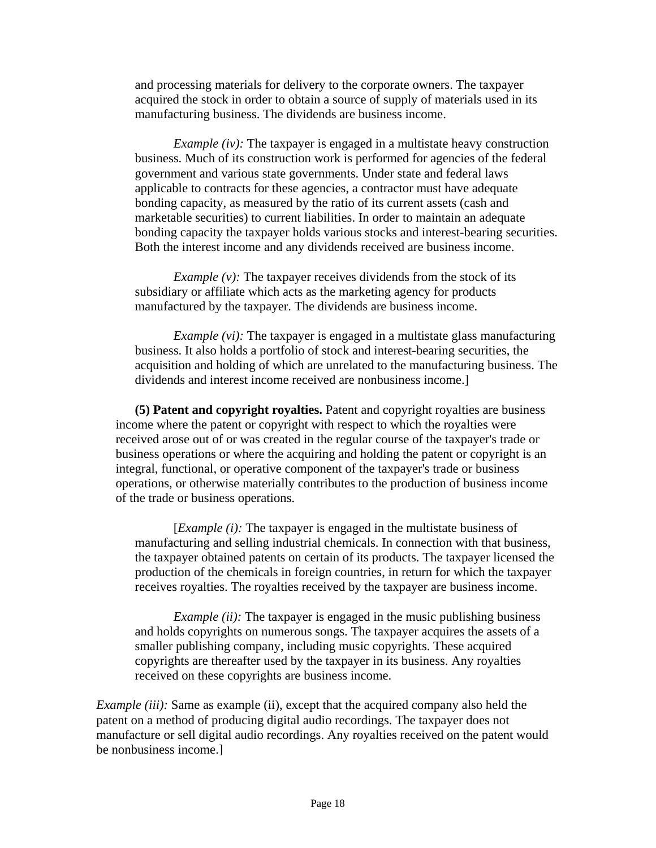and processing materials for delivery to the corporate owners. The taxpayer acquired the stock in order to obtain a source of supply of materials used in its manufacturing business. The dividends are business income.

*Example (iv)*: The taxpayer is engaged in a multistate heavy construction business. Much of its construction work is performed for agencies of the federal government and various state governments. Under state and federal laws applicable to contracts for these agencies, a contractor must have adequate bonding capacity, as measured by the ratio of its current assets (cash and marketable securities) to current liabilities. In order to maintain an adequate bonding capacity the taxpayer holds various stocks and interest-bearing securities. Both the interest income and any dividends received are business income.

*Example (v):* The taxpayer receives dividends from the stock of its subsidiary or affiliate which acts as the marketing agency for products manufactured by the taxpayer. The dividends are business income.

*Example (vi):* The taxpayer is engaged in a multistate glass manufacturing business. It also holds a portfolio of stock and interest-bearing securities, the acquisition and holding of which are unrelated to the manufacturing business. The dividends and interest income received are nonbusiness income.]

**(5) Patent and copyright royalties.** Patent and copyright royalties are business income where the patent or copyright with respect to which the royalties were received arose out of or was created in the regular course of the taxpayer's trade or business operations or where the acquiring and holding the patent or copyright is an integral, functional, or operative component of the taxpayer's trade or business operations, or otherwise materially contributes to the production of business income of the trade or business operations.

[*Example (i):* The taxpayer is engaged in the multistate business of manufacturing and selling industrial chemicals. In connection with that business, the taxpayer obtained patents on certain of its products. The taxpayer licensed the production of the chemicals in foreign countries, in return for which the taxpayer receives royalties. The royalties received by the taxpayer are business income.

*Example (ii):* The taxpayer is engaged in the music publishing business and holds copyrights on numerous songs. The taxpayer acquires the assets of a smaller publishing company, including music copyrights. These acquired copyrights are thereafter used by the taxpayer in its business. Any royalties received on these copyrights are business income.

*Example (iii):* Same as example (ii), except that the acquired company also held the patent on a method of producing digital audio recordings. The taxpayer does not manufacture or sell digital audio recordings. Any royalties received on the patent would be nonbusiness income.]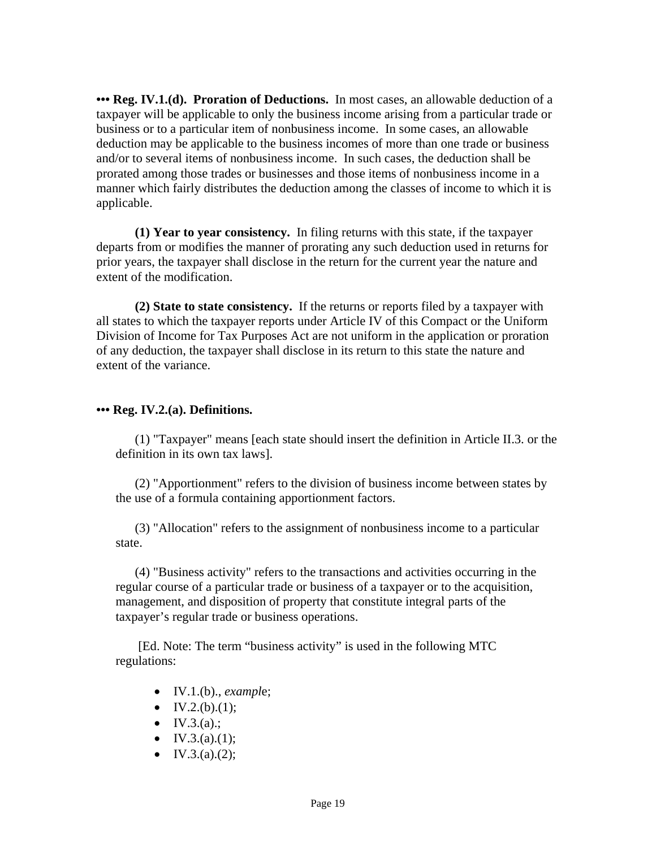**••• Reg. IV.1.(d). Proration of Deductions.** In most cases, an allowable deduction of a taxpayer will be applicable to only the business income arising from a particular trade or business or to a particular item of nonbusiness income. In some cases, an allowable deduction may be applicable to the business incomes of more than one trade or business and/or to several items of nonbusiness income. In such cases, the deduction shall be prorated among those trades or businesses and those items of nonbusiness income in a manner which fairly distributes the deduction among the classes of income to which it is applicable.

 **(1) Year to year consistency.** In filing returns with this state, if the taxpayer departs from or modifies the manner of prorating any such deduction used in returns for prior years, the taxpayer shall disclose in the return for the current year the nature and extent of the modification.

 **(2) State to state consistency.** If the returns or reports filed by a taxpayer with all states to which the taxpayer reports under Article IV of this Compact or the Uniform Division of Income for Tax Purposes Act are not uniform in the application or proration of any deduction, the taxpayer shall disclose in its return to this state the nature and extent of the variance.

### **••• Reg. IV.2.(a). Definitions.**

(1) "Taxpayer" means [each state should insert the definition in Article II.3. or the definition in its own tax laws].

(2) "Apportionment" refers to the division of business income between states by the use of a formula containing apportionment factors.

(3) "Allocation" refers to the assignment of nonbusiness income to a particular state.

(4) "Business activity" refers to the transactions and activities occurring in the regular course of a particular trade or business of a taxpayer or to the acquisition, management, and disposition of property that constitute integral parts of the taxpayer's regular trade or business operations.

 [Ed. Note: The term "business activity" is used in the following MTC regulations:

- IV.1.(b)., *exampl*e;
- $\bullet$  IV.2.(b).(1);
- $\bullet$  IV.3.(a).;
- $\bullet$  IV.3.(a).(1);
- $\bullet$  IV.3.(a).(2);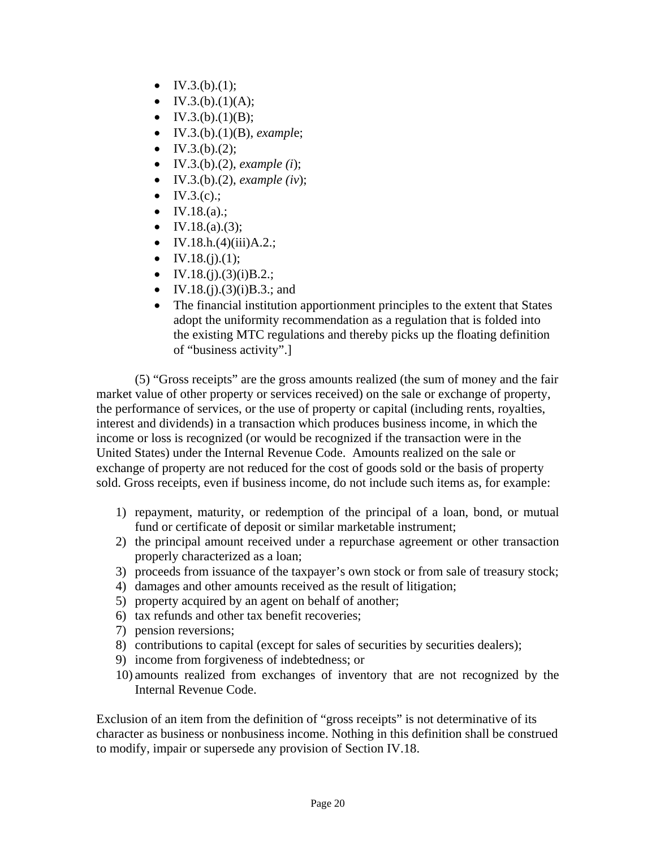- $\bullet$  IV.3.(b).(1);
- $\bullet$  IV.3.(b).(1)(A);
- IV.3.(b).(1)(B);
- IV.3.(b).(1)(B), *exampl*e;
- $\bullet$  IV.3.(b).(2);
- IV.3.(b).(2), *example (i*);
- IV.3.(b).(2), *example (iv*);
- $\bullet$  IV.3.(c).;
- $\bullet$  IV.18.(a).;
- $\bullet$  IV.18.(a).(3);
- $\bullet$  IV.18.h.(4)(iii)A.2.;
- $\bullet$  IV.18.(j).(1);
- $\bullet$  IV.18.(j).(3)(i)B.2.;
- $\bullet$  IV.18.(j).(3)(i)B.3.; and
- The financial institution apportionment principles to the extent that States adopt the uniformity recommendation as a regulation that is folded into the existing MTC regulations and thereby picks up the floating definition of "business activity".]

 (5) "Gross receipts" are the gross amounts realized (the sum of money and the fair market value of other property or services received) on the sale or exchange of property, the performance of services, or the use of property or capital (including rents, royalties, interest and dividends) in a transaction which produces business income, in which the income or loss is recognized (or would be recognized if the transaction were in the United States) under the Internal Revenue Code. Amounts realized on the sale or exchange of property are not reduced for the cost of goods sold or the basis of property sold. Gross receipts, even if business income, do not include such items as, for example:

- 1) repayment, maturity, or redemption of the principal of a loan, bond, or mutual fund or certificate of deposit or similar marketable instrument;
- 2) the principal amount received under a repurchase agreement or other transaction properly characterized as a loan;
- 3) proceeds from issuance of the taxpayer's own stock or from sale of treasury stock;
- 4) damages and other amounts received as the result of litigation;
- 5) property acquired by an agent on behalf of another;
- 6) tax refunds and other tax benefit recoveries;
- 7) pension reversions;
- 8) contributions to capital (except for sales of securities by securities dealers);
- 9) income from forgiveness of indebtedness; or
- 10) amounts realized from exchanges of inventory that are not recognized by the Internal Revenue Code.

Exclusion of an item from the definition of "gross receipts" is not determinative of its character as business or nonbusiness income. Nothing in this definition shall be construed to modify, impair or supersede any provision of Section IV.18.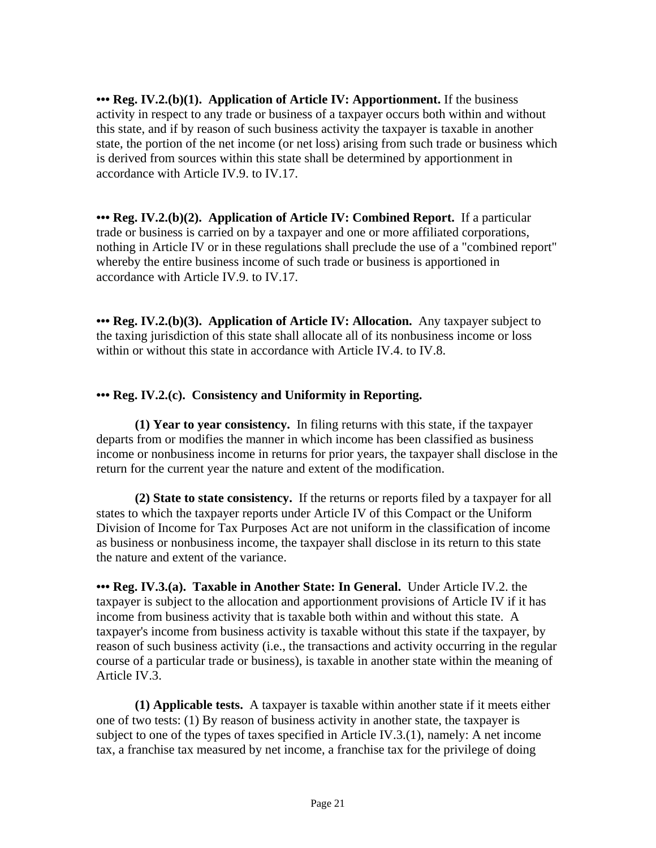**••• Reg. IV.2.(b)(1). Application of Article IV: Apportionment.** If the business activity in respect to any trade or business of a taxpayer occurs both within and without this state, and if by reason of such business activity the taxpayer is taxable in another state, the portion of the net income (or net loss) arising from such trade or business which is derived from sources within this state shall be determined by apportionment in accordance with Article IV.9. to IV.17.

**••• Reg. IV.2.(b)(2). Application of Article IV: Combined Report.** If a particular trade or business is carried on by a taxpayer and one or more affiliated corporations, nothing in Article IV or in these regulations shall preclude the use of a "combined report" whereby the entire business income of such trade or business is apportioned in accordance with Article IV.9. to IV.17.

**••• Reg. IV.2.(b)(3). Application of Article IV: Allocation.** Any taxpayer subject to the taxing jurisdiction of this state shall allocate all of its nonbusiness income or loss within or without this state in accordance with Article IV.4, to IV.8.

### **••• Reg. IV.2.(c). Consistency and Uniformity in Reporting.**

 **(1) Year to year consistency.** In filing returns with this state, if the taxpayer departs from or modifies the manner in which income has been classified as business income or nonbusiness income in returns for prior years, the taxpayer shall disclose in the return for the current year the nature and extent of the modification.

 **(2) State to state consistency.** If the returns or reports filed by a taxpayer for all states to which the taxpayer reports under Article IV of this Compact or the Uniform Division of Income for Tax Purposes Act are not uniform in the classification of income as business or nonbusiness income, the taxpayer shall disclose in its return to this state the nature and extent of the variance.

**••• Reg. IV.3.(a). Taxable in Another State: In General.** Under Article IV.2. the taxpayer is subject to the allocation and apportionment provisions of Article IV if it has income from business activity that is taxable both within and without this state. A taxpayer's income from business activity is taxable without this state if the taxpayer, by reason of such business activity (i.e., the transactions and activity occurring in the regular course of a particular trade or business), is taxable in another state within the meaning of Article IV.3.

 **(1) Applicable tests.** A taxpayer is taxable within another state if it meets either one of two tests: (1) By reason of business activity in another state, the taxpayer is subject to one of the types of taxes specified in Article IV.3.(1), namely: A net income tax, a franchise tax measured by net income, a franchise tax for the privilege of doing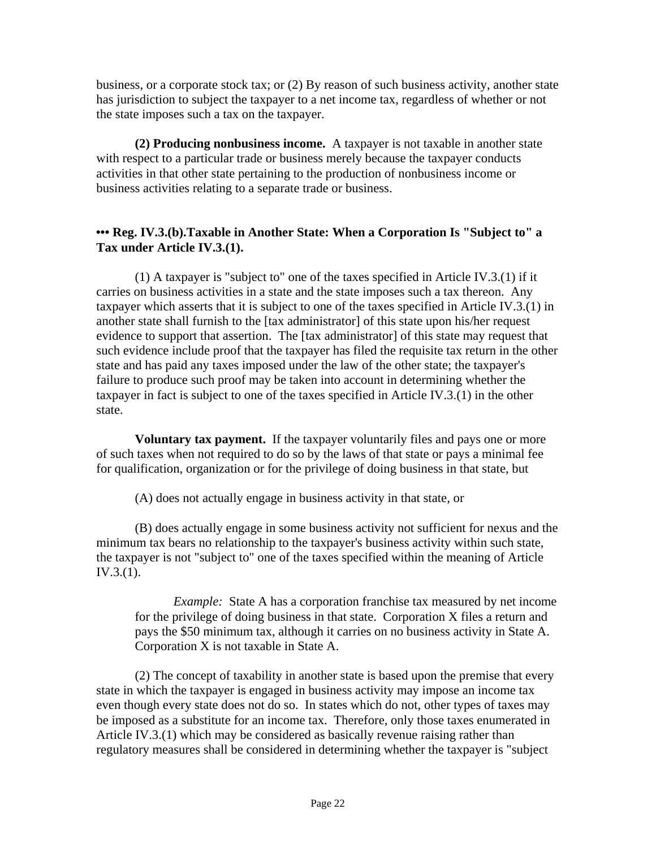business, or a corporate stock tax; or (2) By reason of such business activity, another state has jurisdiction to subject the taxpayer to a net income tax, regardless of whether or not the state imposes such a tax on the taxpayer.

 **(2) Producing nonbusiness income.** A taxpayer is not taxable in another state with respect to a particular trade or business merely because the taxpayer conducts activities in that other state pertaining to the production of nonbusiness income or business activities relating to a separate trade or business.

### **••• Reg. IV.3.(b).Taxable in Another State: When a Corporation Is "Subject to" a Tax under Article IV.3.(1).**

 (1) A taxpayer is "subject to" one of the taxes specified in Article IV.3.(1) if it carries on business activities in a state and the state imposes such a tax thereon. Any taxpayer which asserts that it is subject to one of the taxes specified in Article IV.3.(1) in another state shall furnish to the [tax administrator] of this state upon his/her request evidence to support that assertion. The [tax administrator] of this state may request that such evidence include proof that the taxpayer has filed the requisite tax return in the other state and has paid any taxes imposed under the law of the other state; the taxpayer's failure to produce such proof may be taken into account in determining whether the taxpayer in fact is subject to one of the taxes specified in Article IV.3.(1) in the other state.

 **Voluntary tax payment.** If the taxpayer voluntarily files and pays one or more of such taxes when not required to do so by the laws of that state or pays a minimal fee for qualification, organization or for the privilege of doing business in that state, but

(A) does not actually engage in business activity in that state, or

 (B) does actually engage in some business activity not sufficient for nexus and the minimum tax bears no relationship to the taxpayer's business activity within such state, the taxpayer is not "subject to" one of the taxes specified within the meaning of Article  $IV.3(1)$ .

*Example:* State A has a corporation franchise tax measured by net income for the privilege of doing business in that state. Corporation X files a return and pays the \$50 minimum tax, although it carries on no business activity in State A. Corporation X is not taxable in State A.

 (2) The concept of taxability in another state is based upon the premise that every state in which the taxpayer is engaged in business activity may impose an income tax even though every state does not do so. In states which do not, other types of taxes may be imposed as a substitute for an income tax. Therefore, only those taxes enumerated in Article IV.3.(1) which may be considered as basically revenue raising rather than regulatory measures shall be considered in determining whether the taxpayer is "subject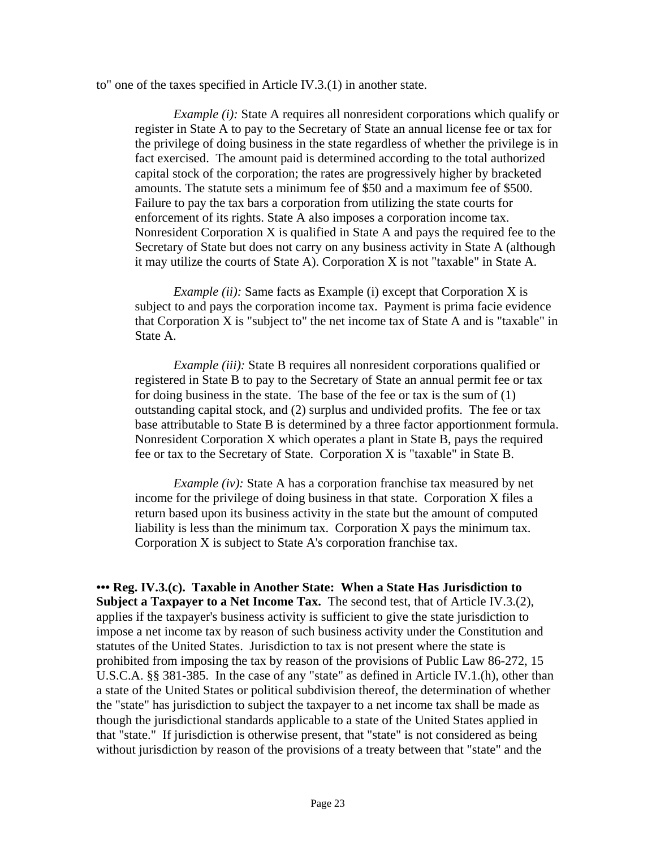to" one of the taxes specified in Article IV.3.(1) in another state.

*Example (i):* State A requires all nonresident corporations which qualify or register in State A to pay to the Secretary of State an annual license fee or tax for the privilege of doing business in the state regardless of whether the privilege is in fact exercised. The amount paid is determined according to the total authorized capital stock of the corporation; the rates are progressively higher by bracketed amounts. The statute sets a minimum fee of \$50 and a maximum fee of \$500. Failure to pay the tax bars a corporation from utilizing the state courts for enforcement of its rights. State A also imposes a corporation income tax. Nonresident Corporation X is qualified in State A and pays the required fee to the Secretary of State but does not carry on any business activity in State A (although it may utilize the courts of State A). Corporation X is not "taxable" in State A.

*Example (ii):* Same facts as Example (i) except that Corporation X is subject to and pays the corporation income tax. Payment is prima facie evidence that Corporation X is "subject to" the net income tax of State A and is "taxable" in State A.

*Example (iii):* State B requires all nonresident corporations qualified or registered in State B to pay to the Secretary of State an annual permit fee or tax for doing business in the state. The base of the fee or tax is the sum of (1) outstanding capital stock, and (2) surplus and undivided profits. The fee or tax base attributable to State B is determined by a three factor apportionment formula. Nonresident Corporation X which operates a plant in State B, pays the required fee or tax to the Secretary of State. Corporation X is "taxable" in State B.

*Example (iv):* State A has a corporation franchise tax measured by net income for the privilege of doing business in that state. Corporation X files a return based upon its business activity in the state but the amount of computed liability is less than the minimum tax. Corporation X pays the minimum tax. Corporation X is subject to State A's corporation franchise tax.

**••• Reg. IV.3.(c). Taxable in Another State: When a State Has Jurisdiction to Subject a Taxpayer to a Net Income Tax.** The second test, that of Article IV.3.(2), applies if the taxpayer's business activity is sufficient to give the state jurisdiction to impose a net income tax by reason of such business activity under the Constitution and statutes of the United States. Jurisdiction to tax is not present where the state is prohibited from imposing the tax by reason of the provisions of Public Law 86-272, 15 U.S.C.A. §§ 381-385. In the case of any "state" as defined in Article IV.1.(h), other than a state of the United States or political subdivision thereof, the determination of whether the "state" has jurisdiction to subject the taxpayer to a net income tax shall be made as though the jurisdictional standards applicable to a state of the United States applied in that "state." If jurisdiction is otherwise present, that "state" is not considered as being without jurisdiction by reason of the provisions of a treaty between that "state" and the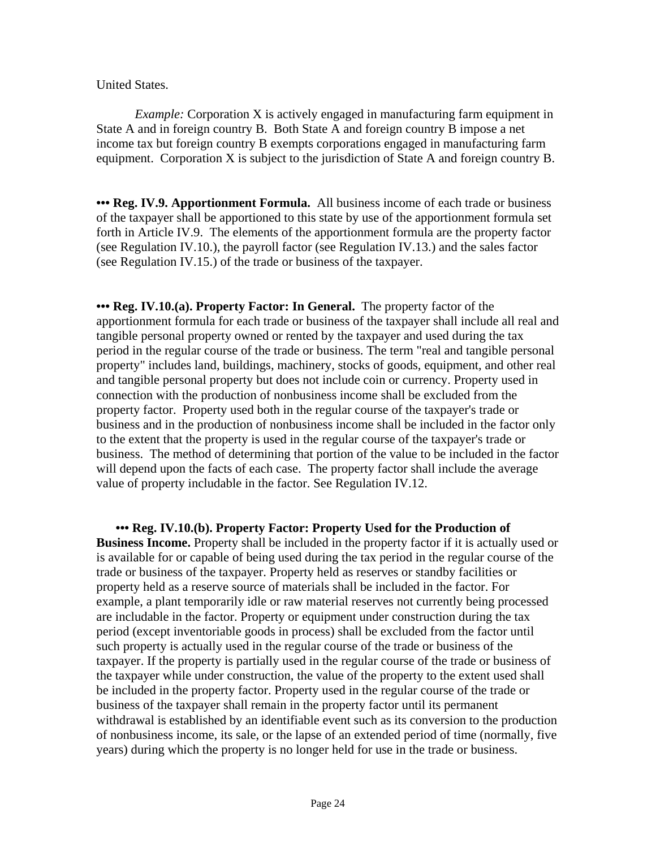United States.

*Example:* Corporation X is actively engaged in manufacturing farm equipment in State A and in foreign country B. Both State A and foreign country B impose a net income tax but foreign country B exempts corporations engaged in manufacturing farm equipment. Corporation X is subject to the jurisdiction of State A and foreign country B.

**••• Reg. IV.9. Apportionment Formula.** All business income of each trade or business of the taxpayer shall be apportioned to this state by use of the apportionment formula set forth in Article IV.9. The elements of the apportionment formula are the property factor (see Regulation IV.10.), the payroll factor (see Regulation IV.13.) and the sales factor (see Regulation IV.15.) of the trade or business of the taxpayer.

**••• Reg. IV.10.(a). Property Factor: In General.** The property factor of the apportionment formula for each trade or business of the taxpayer shall include all real and tangible personal property owned or rented by the taxpayer and used during the tax period in the regular course of the trade or business. The term "real and tangible personal property" includes land, buildings, machinery, stocks of goods, equipment, and other real and tangible personal property but does not include coin or currency. Property used in connection with the production of nonbusiness income shall be excluded from the property factor. Property used both in the regular course of the taxpayer's trade or business and in the production of nonbusiness income shall be included in the factor only to the extent that the property is used in the regular course of the taxpayer's trade or business. The method of determining that portion of the value to be included in the factor will depend upon the facts of each case. The property factor shall include the average value of property includable in the factor. See Regulation IV.12.

**••• Reg. IV.10.(b). Property Factor: Property Used for the Production of Business Income.** Property shall be included in the property factor if it is actually used or is available for or capable of being used during the tax period in the regular course of the trade or business of the taxpayer. Property held as reserves or standby facilities or property held as a reserve source of materials shall be included in the factor. For example, a plant temporarily idle or raw material reserves not currently being processed are includable in the factor. Property or equipment under construction during the tax period (except inventoriable goods in process) shall be excluded from the factor until such property is actually used in the regular course of the trade or business of the taxpayer. If the property is partially used in the regular course of the trade or business of the taxpayer while under construction, the value of the property to the extent used shall be included in the property factor. Property used in the regular course of the trade or business of the taxpayer shall remain in the property factor until its permanent withdrawal is established by an identifiable event such as its conversion to the production of nonbusiness income, its sale, or the lapse of an extended period of time (normally, five years) during which the property is no longer held for use in the trade or business.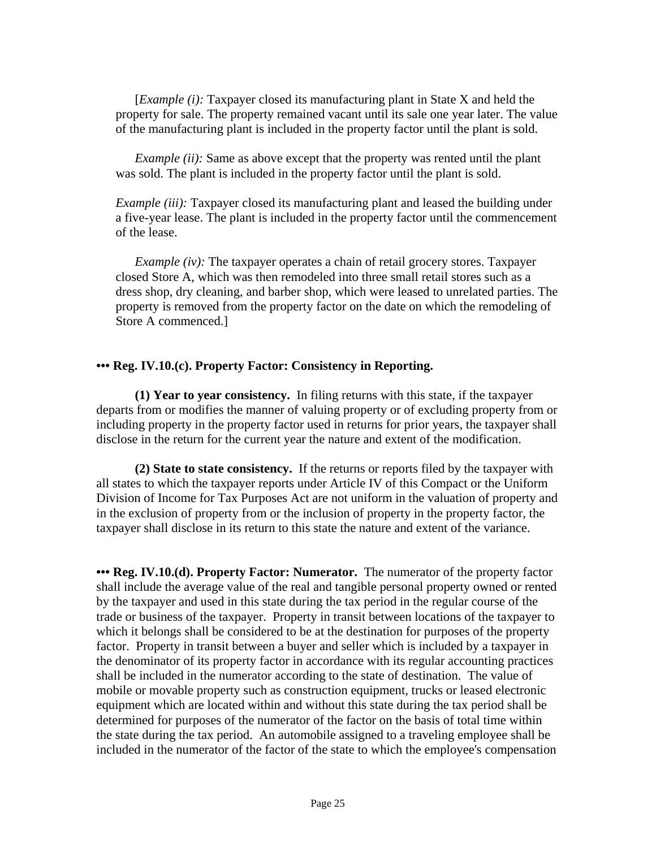[*Example (i):* Taxpayer closed its manufacturing plant in State X and held the property for sale. The property remained vacant until its sale one year later. The value of the manufacturing plant is included in the property factor until the plant is sold.

*Example (ii):* Same as above except that the property was rented until the plant was sold. The plant is included in the property factor until the plant is sold.

*Example (iii):* Taxpayer closed its manufacturing plant and leased the building under a five-year lease. The plant is included in the property factor until the commencement of the lease.

*Example (iv):* The taxpayer operates a chain of retail grocery stores. Taxpayer closed Store A, which was then remodeled into three small retail stores such as a dress shop, dry cleaning, and barber shop, which were leased to unrelated parties. The property is removed from the property factor on the date on which the remodeling of Store A commenced.]

#### **••• Reg. IV.10.(c). Property Factor: Consistency in Reporting.**

 **(1) Year to year consistency.** In filing returns with this state, if the taxpayer departs from or modifies the manner of valuing property or of excluding property from or including property in the property factor used in returns for prior years, the taxpayer shall disclose in the return for the current year the nature and extent of the modification.

 **(2) State to state consistency.** If the returns or reports filed by the taxpayer with all states to which the taxpayer reports under Article IV of this Compact or the Uniform Division of Income for Tax Purposes Act are not uniform in the valuation of property and in the exclusion of property from or the inclusion of property in the property factor, the taxpayer shall disclose in its return to this state the nature and extent of the variance.

**••• Reg. IV.10.(d). Property Factor: Numerator.** The numerator of the property factor shall include the average value of the real and tangible personal property owned or rented by the taxpayer and used in this state during the tax period in the regular course of the trade or business of the taxpayer. Property in transit between locations of the taxpayer to which it belongs shall be considered to be at the destination for purposes of the property factor. Property in transit between a buyer and seller which is included by a taxpayer in the denominator of its property factor in accordance with its regular accounting practices shall be included in the numerator according to the state of destination. The value of mobile or movable property such as construction equipment, trucks or leased electronic equipment which are located within and without this state during the tax period shall be determined for purposes of the numerator of the factor on the basis of total time within the state during the tax period. An automobile assigned to a traveling employee shall be included in the numerator of the factor of the state to which the employee's compensation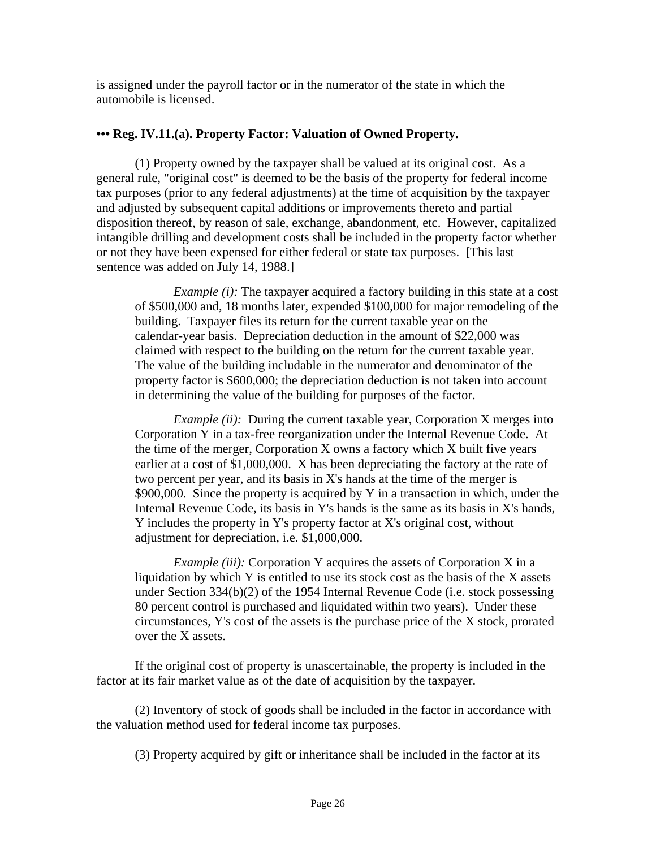is assigned under the payroll factor or in the numerator of the state in which the automobile is licensed.

#### **••• Reg. IV.11.(a). Property Factor: Valuation of Owned Property.**

 (1) Property owned by the taxpayer shall be valued at its original cost. As a general rule, "original cost" is deemed to be the basis of the property for federal income tax purposes (prior to any federal adjustments) at the time of acquisition by the taxpayer and adjusted by subsequent capital additions or improvements thereto and partial disposition thereof, by reason of sale, exchange, abandonment, etc. However, capitalized intangible drilling and development costs shall be included in the property factor whether or not they have been expensed for either federal or state tax purposes. [This last sentence was added on July 14, 1988.]

*Example (i):* The taxpayer acquired a factory building in this state at a cost of \$500,000 and, 18 months later, expended \$100,000 for major remodeling of the building. Taxpayer files its return for the current taxable year on the calendar-year basis. Depreciation deduction in the amount of \$22,000 was claimed with respect to the building on the return for the current taxable year. The value of the building includable in the numerator and denominator of the property factor is \$600,000; the depreciation deduction is not taken into account in determining the value of the building for purposes of the factor.

*Example (ii):* During the current taxable year, Corporation X merges into Corporation Y in a tax-free reorganization under the Internal Revenue Code. At the time of the merger, Corporation X owns a factory which X built five years earlier at a cost of \$1,000,000. X has been depreciating the factory at the rate of two percent per year, and its basis in X's hands at the time of the merger is  $$900,000$ . Since the property is acquired by Y in a transaction in which, under the Internal Revenue Code, its basis in Y's hands is the same as its basis in X's hands, Y includes the property in Y's property factor at X's original cost, without adjustment for depreciation, i.e. \$1,000,000.

*Example (iii):* Corporation Y acquires the assets of Corporation X in a liquidation by which Y is entitled to use its stock cost as the basis of the X assets under Section 334(b)(2) of the 1954 Internal Revenue Code (i.e. stock possessing 80 percent control is purchased and liquidated within two years). Under these circumstances, Y's cost of the assets is the purchase price of the X stock, prorated over the X assets.

 If the original cost of property is unascertainable, the property is included in the factor at its fair market value as of the date of acquisition by the taxpayer.

 (2) Inventory of stock of goods shall be included in the factor in accordance with the valuation method used for federal income tax purposes.

(3) Property acquired by gift or inheritance shall be included in the factor at its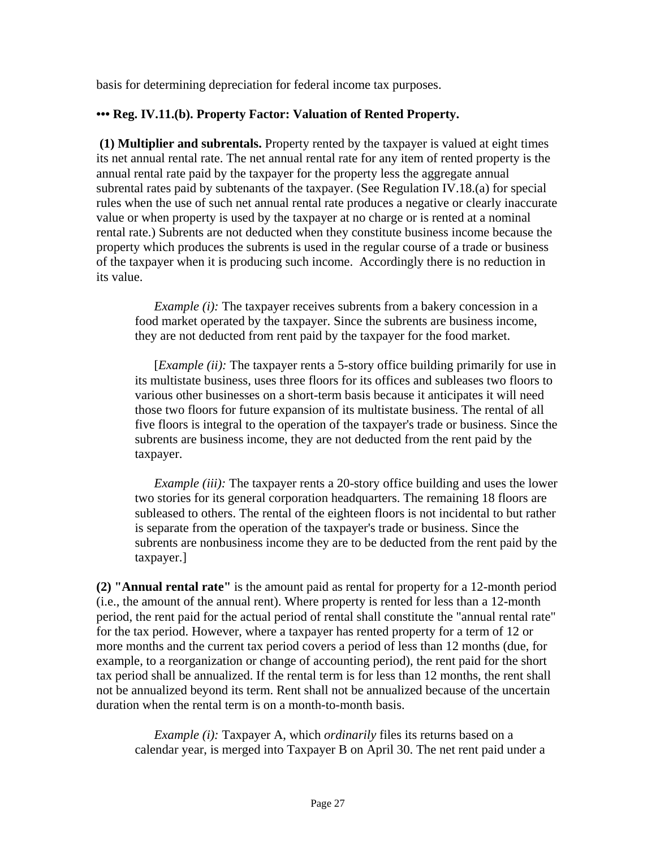basis for determining depreciation for federal income tax purposes.

### **••• Reg. IV.11.(b). Property Factor: Valuation of Rented Property.**

 **(1) Multiplier and subrentals.** Property rented by the taxpayer is valued at eight times its net annual rental rate. The net annual rental rate for any item of rented property is the annual rental rate paid by the taxpayer for the property less the aggregate annual subrental rates paid by subtenants of the taxpayer. (See Regulation IV.18.(a) for special rules when the use of such net annual rental rate produces a negative or clearly inaccurate value or when property is used by the taxpayer at no charge or is rented at a nominal rental rate.) Subrents are not deducted when they constitute business income because the property which produces the subrents is used in the regular course of a trade or business of the taxpayer when it is producing such income. Accordingly there is no reduction in its value.

*Example (i):* The taxpayer receives subrents from a bakery concession in a food market operated by the taxpayer. Since the subrents are business income, they are not deducted from rent paid by the taxpayer for the food market.

[*Example (ii):* The taxpayer rents a 5-story office building primarily for use in its multistate business, uses three floors for its offices and subleases two floors to various other businesses on a short-term basis because it anticipates it will need those two floors for future expansion of its multistate business. The rental of all five floors is integral to the operation of the taxpayer's trade or business. Since the subrents are business income, they are not deducted from the rent paid by the taxpayer.

*Example (iii):* The taxpayer rents a 20-story office building and uses the lower two stories for its general corporation headquarters. The remaining 18 floors are subleased to others. The rental of the eighteen floors is not incidental to but rather is separate from the operation of the taxpayer's trade or business. Since the subrents are nonbusiness income they are to be deducted from the rent paid by the taxpayer.]

**(2) "Annual rental rate"** is the amount paid as rental for property for a 12-month period (i.e., the amount of the annual rent). Where property is rented for less than a 12-month period, the rent paid for the actual period of rental shall constitute the "annual rental rate" for the tax period. However, where a taxpayer has rented property for a term of 12 or more months and the current tax period covers a period of less than 12 months (due, for example, to a reorganization or change of accounting period), the rent paid for the short tax period shall be annualized. If the rental term is for less than 12 months, the rent shall not be annualized beyond its term. Rent shall not be annualized because of the uncertain duration when the rental term is on a month-to-month basis.

*Example (i):* Taxpayer A, which *ordinarily* files its returns based on a calendar year, is merged into Taxpayer B on April 30. The net rent paid under a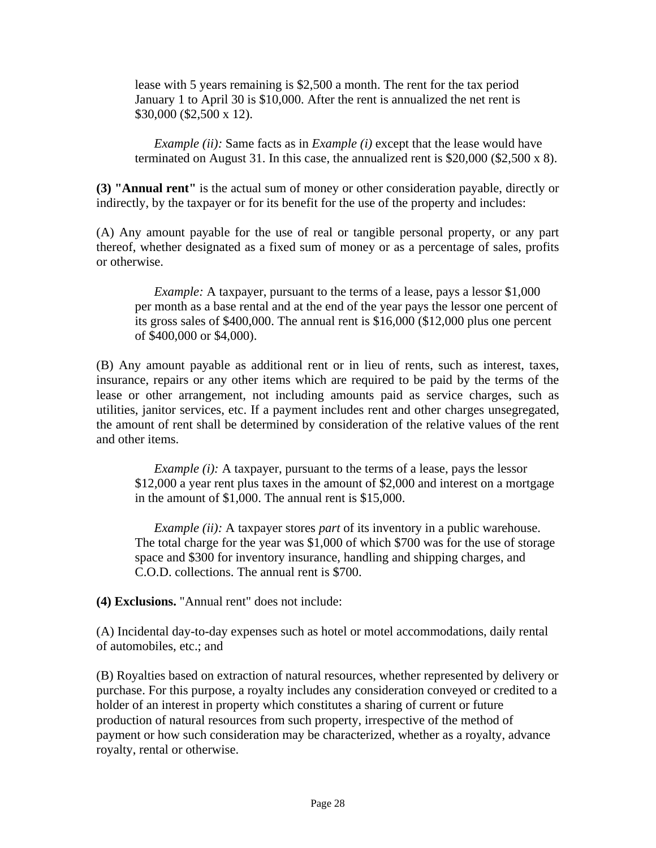lease with 5 years remaining is \$2,500 a month. The rent for the tax period January 1 to April 30 is \$10,000. After the rent is annualized the net rent is \$30,000 (\$2,500 x 12).

*Example (ii):* Same facts as in *Example (i)* except that the lease would have terminated on August 31. In this case, the annualized rent is \$20,000 (\$2,500 x 8).

**(3) "Annual rent"** is the actual sum of money or other consideration payable, directly or indirectly, by the taxpayer or for its benefit for the use of the property and includes:

(A) Any amount payable for the use of real or tangible personal property, or any part thereof, whether designated as a fixed sum of money or as a percentage of sales, profits or otherwise.

*Example:* A taxpayer, pursuant to the terms of a lease, pays a lessor \$1,000 per month as a base rental and at the end of the year pays the lessor one percent of its gross sales of \$400,000. The annual rent is \$16,000 (\$12,000 plus one percent of \$400,000 or \$4,000).

(B) Any amount payable as additional rent or in lieu of rents, such as interest, taxes, insurance, repairs or any other items which are required to be paid by the terms of the lease or other arrangement, not including amounts paid as service charges, such as utilities, janitor services, etc. If a payment includes rent and other charges unsegregated, the amount of rent shall be determined by consideration of the relative values of the rent and other items.

*Example (i):* A taxpayer, pursuant to the terms of a lease, pays the lessor \$12,000 a year rent plus taxes in the amount of \$2,000 and interest on a mortgage in the amount of \$1,000. The annual rent is \$15,000.

*Example (ii):* A taxpayer stores *part* of its inventory in a public warehouse. The total charge for the year was \$1,000 of which \$700 was for the use of storage space and \$300 for inventory insurance, handling and shipping charges, and C.O.D. collections. The annual rent is \$700.

**(4) Exclusions.** "Annual rent" does not include:

(A) Incidental day-to-day expenses such as hotel or motel accommodations, daily rental of automobiles, etc.; and

(B) Royalties based on extraction of natural resources, whether represented by delivery or purchase. For this purpose, a royalty includes any consideration conveyed or credited to a holder of an interest in property which constitutes a sharing of current or future production of natural resources from such property, irrespective of the method of payment or how such consideration may be characterized, whether as a royalty, advance royalty, rental or otherwise.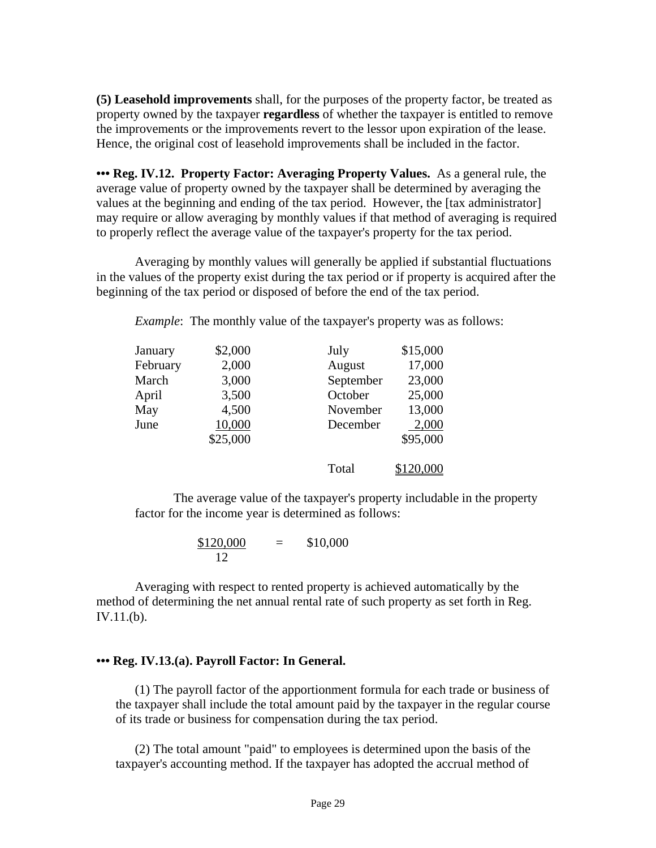**(5) Leasehold improvements** shall, for the purposes of the property factor, be treated as property owned by the taxpayer **regardless** of whether the taxpayer is entitled to remove the improvements or the improvements revert to the lessor upon expiration of the lease. Hence, the original cost of leasehold improvements shall be included in the factor.

**••• Reg. IV.12. Property Factor: Averaging Property Values.** As a general rule, the average value of property owned by the taxpayer shall be determined by averaging the values at the beginning and ending of the tax period. However, the [tax administrator] may require or allow averaging by monthly values if that method of averaging is required to properly reflect the average value of the taxpayer's property for the tax period.

 Averaging by monthly values will generally be applied if substantial fluctuations in the values of the property exist during the tax period or if property is acquired after the beginning of the tax period or disposed of before the end of the tax period.

*Example*: The monthly value of the taxpayer's property was as follows:

| January  | \$2,000  | July      | \$15,000  |
|----------|----------|-----------|-----------|
| February | 2,000    | August    | 17,000    |
| March    | 3,000    | September | 23,000    |
| April    | 3,500    | October   | 25,000    |
| May      | 4,500    | November  | 13,000    |
| June     | 10,000   | December  | 2,000     |
|          | \$25,000 |           | \$95,000  |
|          |          | Total     | \$120,000 |
|          |          |           |           |

 The average value of the taxpayer's property includable in the property factor for the income year is determined as follows:

$$
\frac{\$120,000}{12} = \$10,000
$$

 Averaging with respect to rented property is achieved automatically by the method of determining the net annual rental rate of such property as set forth in Reg. IV.11.(b).

#### **••• Reg. IV.13.(a). Payroll Factor: In General.**

(1) The payroll factor of the apportionment formula for each trade or business of the taxpayer shall include the total amount paid by the taxpayer in the regular course of its trade or business for compensation during the tax period.

(2) The total amount "paid" to employees is determined upon the basis of the taxpayer's accounting method. If the taxpayer has adopted the accrual method of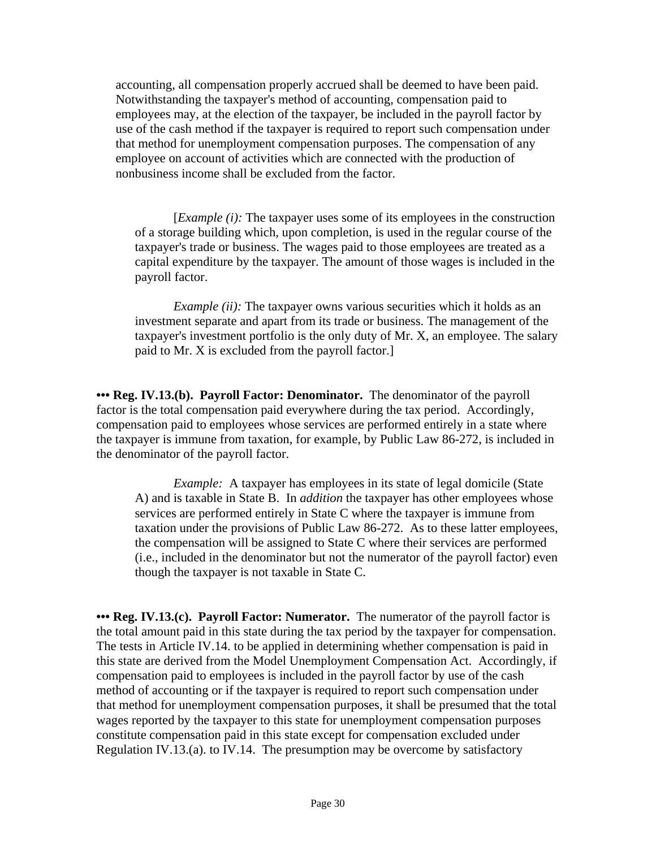accounting, all compensation properly accrued shall be deemed to have been paid. Notwithstanding the taxpayer's method of accounting, compensation paid to employees may, at the election of the taxpayer, be included in the payroll factor by use of the cash method if the taxpayer is required to report such compensation under that method for unemployment compensation purposes. The compensation of any employee on account of activities which are connected with the production of nonbusiness income shall be excluded from the factor.

[*Example (i):* The taxpayer uses some of its employees in the construction of a storage building which, upon completion, is used in the regular course of the taxpayer's trade or business. The wages paid to those employees are treated as a capital expenditure by the taxpayer. The amount of those wages is included in the payroll factor.

*Example (ii):* The taxpayer owns various securities which it holds as an investment separate and apart from its trade or business. The management of the taxpayer's investment portfolio is the only duty of Mr. X, an employee. The salary paid to Mr. X is excluded from the payroll factor.]

**••• Reg. IV.13.(b). Payroll Factor: Denominator.** The denominator of the payroll factor is the total compensation paid everywhere during the tax period. Accordingly, compensation paid to employees whose services are performed entirely in a state where the taxpayer is immune from taxation, for example, by Public Law 86-272, is included in the denominator of the payroll factor.

*Example:* A taxpayer has employees in its state of legal domicile (State) A) and is taxable in State B. In *addition* the taxpayer has other employees whose services are performed entirely in State C where the taxpayer is immune from taxation under the provisions of Public Law 86-272. As to these latter employees, the compensation will be assigned to State C where their services are performed (i.e., included in the denominator but not the numerator of the payroll factor) even though the taxpayer is not taxable in State C.

**••• Reg. IV.13.(c). Payroll Factor: Numerator.** The numerator of the payroll factor is the total amount paid in this state during the tax period by the taxpayer for compensation. The tests in Article IV.14. to be applied in determining whether compensation is paid in this state are derived from the Model Unemployment Compensation Act. Accordingly, if compensation paid to employees is included in the payroll factor by use of the cash method of accounting or if the taxpayer is required to report such compensation under that method for unemployment compensation purposes, it shall be presumed that the total wages reported by the taxpayer to this state for unemployment compensation purposes constitute compensation paid in this state except for compensation excluded under Regulation IV.13.(a). to IV.14. The presumption may be overcome by satisfactory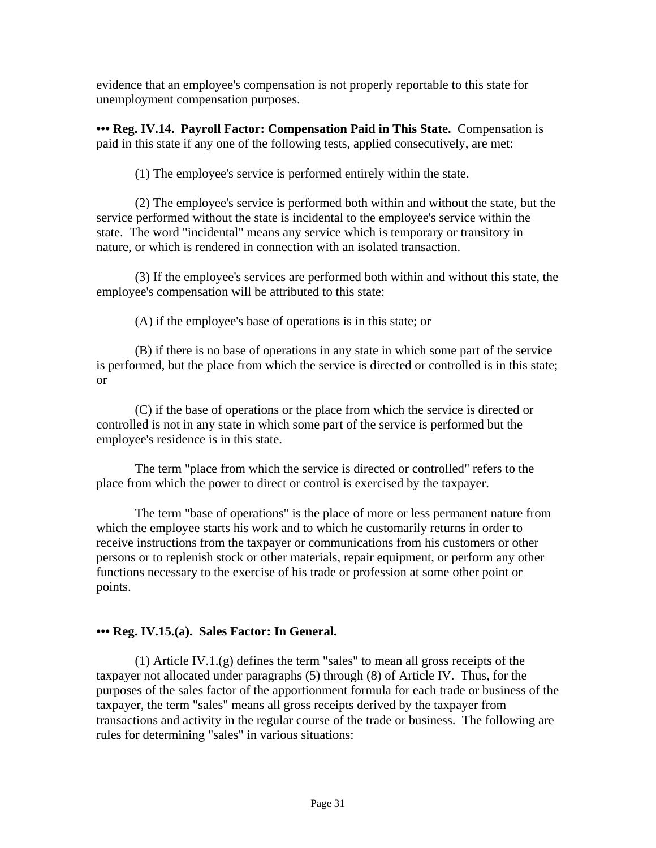evidence that an employee's compensation is not properly reportable to this state for unemployment compensation purposes.

**••• Reg. IV.14. Payroll Factor: Compensation Paid in This State.** Compensation is paid in this state if any one of the following tests, applied consecutively, are met:

(1) The employee's service is performed entirely within the state.

 (2) The employee's service is performed both within and without the state, but the service performed without the state is incidental to the employee's service within the state. The word "incidental" means any service which is temporary or transitory in nature, or which is rendered in connection with an isolated transaction.

 (3) If the employee's services are performed both within and without this state, the employee's compensation will be attributed to this state:

(A) if the employee's base of operations is in this state; or

 (B) if there is no base of operations in any state in which some part of the service is performed, but the place from which the service is directed or controlled is in this state; or

 (C) if the base of operations or the place from which the service is directed or controlled is not in any state in which some part of the service is performed but the employee's residence is in this state.

 The term "place from which the service is directed or controlled" refers to the place from which the power to direct or control is exercised by the taxpayer.

 The term "base of operations" is the place of more or less permanent nature from which the employee starts his work and to which he customarily returns in order to receive instructions from the taxpayer or communications from his customers or other persons or to replenish stock or other materials, repair equipment, or perform any other functions necessary to the exercise of his trade or profession at some other point or points.

### **••• Reg. IV.15.(a). Sales Factor: In General.**

 (1) Article IV.1.(g) defines the term "sales" to mean all gross receipts of the taxpayer not allocated under paragraphs (5) through (8) of Article IV. Thus, for the purposes of the sales factor of the apportionment formula for each trade or business of the taxpayer, the term "sales" means all gross receipts derived by the taxpayer from transactions and activity in the regular course of the trade or business. The following are rules for determining "sales" in various situations: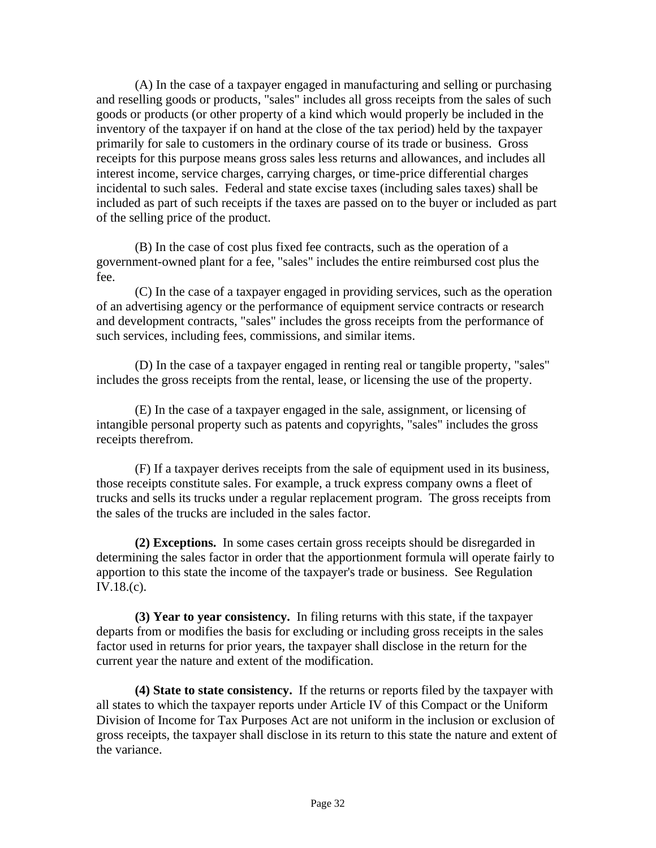(A) In the case of a taxpayer engaged in manufacturing and selling or purchasing and reselling goods or products, "sales" includes all gross receipts from the sales of such goods or products (or other property of a kind which would properly be included in the inventory of the taxpayer if on hand at the close of the tax period) held by the taxpayer primarily for sale to customers in the ordinary course of its trade or business. Gross receipts for this purpose means gross sales less returns and allowances, and includes all interest income, service charges, carrying charges, or time-price differential charges incidental to such sales. Federal and state excise taxes (including sales taxes) shall be included as part of such receipts if the taxes are passed on to the buyer or included as part of the selling price of the product.

 (B) In the case of cost plus fixed fee contracts, such as the operation of a government-owned plant for a fee, "sales" includes the entire reimbursed cost plus the fee.

 (C) In the case of a taxpayer engaged in providing services, such as the operation of an advertising agency or the performance of equipment service contracts or research and development contracts, "sales" includes the gross receipts from the performance of such services, including fees, commissions, and similar items.

 (D) In the case of a taxpayer engaged in renting real or tangible property, "sales" includes the gross receipts from the rental, lease, or licensing the use of the property.

 (E) In the case of a taxpayer engaged in the sale, assignment, or licensing of intangible personal property such as patents and copyrights, "sales" includes the gross receipts therefrom.

 (F) If a taxpayer derives receipts from the sale of equipment used in its business, those receipts constitute sales. For example, a truck express company owns a fleet of trucks and sells its trucks under a regular replacement program. The gross receipts from the sales of the trucks are included in the sales factor.

**(2) Exceptions.** In some cases certain gross receipts should be disregarded in determining the sales factor in order that the apportionment formula will operate fairly to apportion to this state the income of the taxpayer's trade or business. See Regulation IV.18.(c).

**(3) Year to year consistency.** In filing returns with this state, if the taxpayer departs from or modifies the basis for excluding or including gross receipts in the sales factor used in returns for prior years, the taxpayer shall disclose in the return for the current year the nature and extent of the modification.

**(4) State to state consistency.** If the returns or reports filed by the taxpayer with all states to which the taxpayer reports under Article IV of this Compact or the Uniform Division of Income for Tax Purposes Act are not uniform in the inclusion or exclusion of gross receipts, the taxpayer shall disclose in its return to this state the nature and extent of the variance.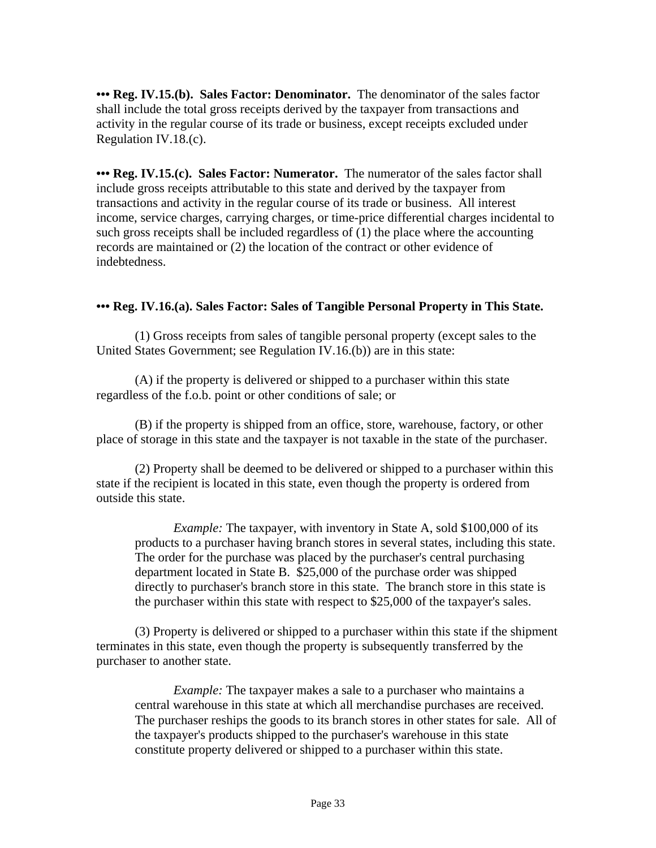**••• Reg. IV.15.(b). Sales Factor: Denominator.** The denominator of the sales factor shall include the total gross receipts derived by the taxpayer from transactions and activity in the regular course of its trade or business, except receipts excluded under Regulation IV.18.(c).

**••• Reg. IV.15.(c). Sales Factor: Numerator.** The numerator of the sales factor shall include gross receipts attributable to this state and derived by the taxpayer from transactions and activity in the regular course of its trade or business. All interest income, service charges, carrying charges, or time-price differential charges incidental to such gross receipts shall be included regardless of (1) the place where the accounting records are maintained or (2) the location of the contract or other evidence of indebtedness.

### **••• Reg. IV.16.(a). Sales Factor: Sales of Tangible Personal Property in This State.**

 (1) Gross receipts from sales of tangible personal property (except sales to the United States Government; see Regulation IV.16.(b)) are in this state:

 (A) if the property is delivered or shipped to a purchaser within this state regardless of the f.o.b. point or other conditions of sale; or

 (B) if the property is shipped from an office, store, warehouse, factory, or other place of storage in this state and the taxpayer is not taxable in the state of the purchaser.

 (2) Property shall be deemed to be delivered or shipped to a purchaser within this state if the recipient is located in this state, even though the property is ordered from outside this state.

*Example:* The taxpayer, with inventory in State A, sold \$100,000 of its products to a purchaser having branch stores in several states, including this state. The order for the purchase was placed by the purchaser's central purchasing department located in State B. \$25,000 of the purchase order was shipped directly to purchaser's branch store in this state. The branch store in this state is the purchaser within this state with respect to \$25,000 of the taxpayer's sales.

 (3) Property is delivered or shipped to a purchaser within this state if the shipment terminates in this state, even though the property is subsequently transferred by the purchaser to another state.

*Example:* The taxpayer makes a sale to a purchaser who maintains a central warehouse in this state at which all merchandise purchases are received. The purchaser reships the goods to its branch stores in other states for sale. All of the taxpayer's products shipped to the purchaser's warehouse in this state constitute property delivered or shipped to a purchaser within this state.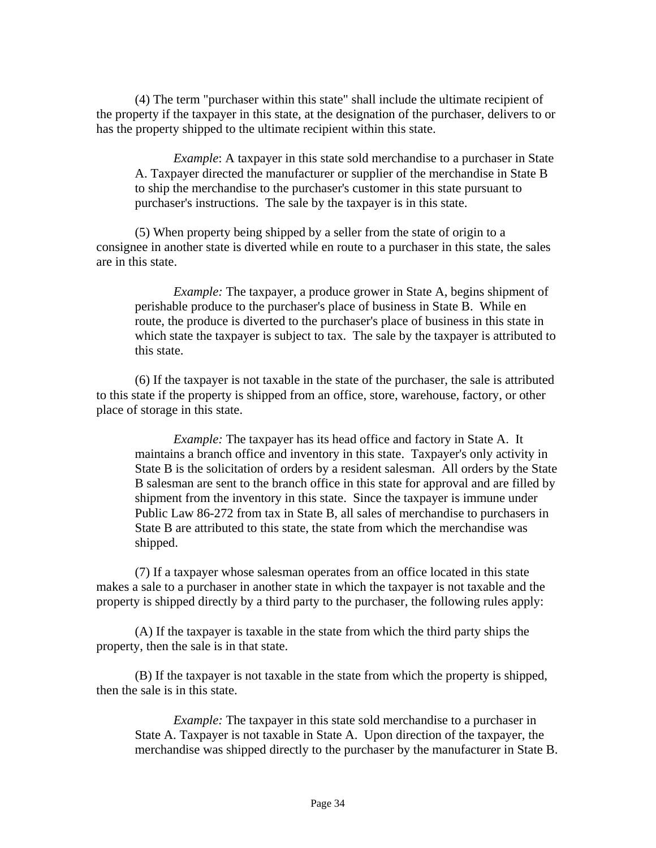(4) The term "purchaser within this state" shall include the ultimate recipient of the property if the taxpayer in this state, at the designation of the purchaser, delivers to or has the property shipped to the ultimate recipient within this state.

*Example*: A taxpayer in this state sold merchandise to a purchaser in State A. Taxpayer directed the manufacturer or supplier of the merchandise in State B to ship the merchandise to the purchaser's customer in this state pursuant to purchaser's instructions. The sale by the taxpayer is in this state.

 (5) When property being shipped by a seller from the state of origin to a consignee in another state is diverted while en route to a purchaser in this state, the sales are in this state.

*Example:* The taxpayer, a produce grower in State A, begins shipment of perishable produce to the purchaser's place of business in State B. While en route, the produce is diverted to the purchaser's place of business in this state in which state the taxpayer is subject to tax. The sale by the taxpayer is attributed to this state.

 (6) If the taxpayer is not taxable in the state of the purchaser, the sale is attributed to this state if the property is shipped from an office, store, warehouse, factory, or other place of storage in this state.

*Example:* The taxpayer has its head office and factory in State A. It maintains a branch office and inventory in this state. Taxpayer's only activity in State B is the solicitation of orders by a resident salesman. All orders by the State B salesman are sent to the branch office in this state for approval and are filled by shipment from the inventory in this state. Since the taxpayer is immune under Public Law 86-272 from tax in State B, all sales of merchandise to purchasers in State B are attributed to this state, the state from which the merchandise was shipped.

 (7) If a taxpayer whose salesman operates from an office located in this state makes a sale to a purchaser in another state in which the taxpayer is not taxable and the property is shipped directly by a third party to the purchaser, the following rules apply:

 (A) If the taxpayer is taxable in the state from which the third party ships the property, then the sale is in that state.

 (B) If the taxpayer is not taxable in the state from which the property is shipped, then the sale is in this state.

*Example:* The taxpayer in this state sold merchandise to a purchaser in State A. Taxpayer is not taxable in State A. Upon direction of the taxpayer, the merchandise was shipped directly to the purchaser by the manufacturer in State B.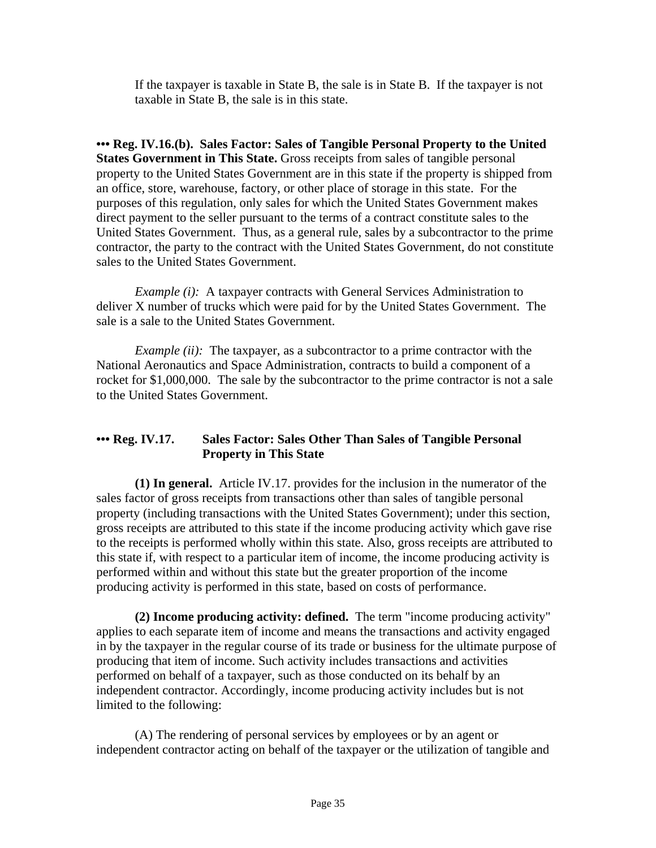If the taxpayer is taxable in State B, the sale is in State B. If the taxpayer is not taxable in State B, the sale is in this state.

**••• Reg. IV.16.(b). Sales Factor: Sales of Tangible Personal Property to the United States Government in This State.** Gross receipts from sales of tangible personal property to the United States Government are in this state if the property is shipped from an office, store, warehouse, factory, or other place of storage in this state. For the purposes of this regulation, only sales for which the United States Government makes direct payment to the seller pursuant to the terms of a contract constitute sales to the United States Government. Thus, as a general rule, sales by a subcontractor to the prime contractor, the party to the contract with the United States Government, do not constitute sales to the United States Government.

*Example (i):* A taxpayer contracts with General Services Administration to deliver X number of trucks which were paid for by the United States Government. The sale is a sale to the United States Government.

*Example (ii):* The taxpayer, as a subcontractor to a prime contractor with the National Aeronautics and Space Administration, contracts to build a component of a rocket for \$1,000,000. The sale by the subcontractor to the prime contractor is not a sale to the United States Government.

## **••• Reg. IV.17. Sales Factor: Sales Other Than Sales of Tangible Personal Property in This State**

 **(1) In general.** Article IV.17. provides for the inclusion in the numerator of the sales factor of gross receipts from transactions other than sales of tangible personal property (including transactions with the United States Government); under this section, gross receipts are attributed to this state if the income producing activity which gave rise to the receipts is performed wholly within this state. Also, gross receipts are attributed to this state if, with respect to a particular item of income, the income producing activity is performed within and without this state but the greater proportion of the income producing activity is performed in this state, based on costs of performance.

 **(2) Income producing activity: defined.** The term "income producing activity" applies to each separate item of income and means the transactions and activity engaged in by the taxpayer in the regular course of its trade or business for the ultimate purpose of producing that item of income. Such activity includes transactions and activities performed on behalf of a taxpayer, such as those conducted on its behalf by an independent contractor. Accordingly, income producing activity includes but is not limited to the following:

 (A) The rendering of personal services by employees or by an agent or independent contractor acting on behalf of the taxpayer or the utilization of tangible and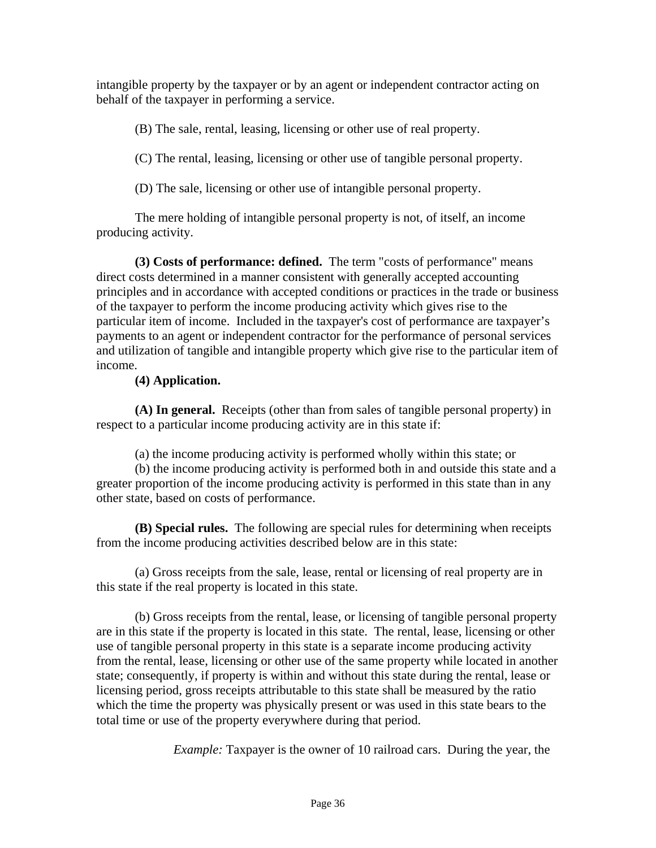intangible property by the taxpayer or by an agent or independent contractor acting on behalf of the taxpayer in performing a service.

(B) The sale, rental, leasing, licensing or other use of real property.

(C) The rental, leasing, licensing or other use of tangible personal property.

(D) The sale, licensing or other use of intangible personal property.

 The mere holding of intangible personal property is not, of itself, an income producing activity.

 **(3) Costs of performance: defined.** The term "costs of performance" means direct costs determined in a manner consistent with generally accepted accounting principles and in accordance with accepted conditions or practices in the trade or business of the taxpayer to perform the income producing activity which gives rise to the particular item of income. Included in the taxpayer's cost of performance are taxpayer's payments to an agent or independent contractor for the performance of personal services and utilization of tangible and intangible property which give rise to the particular item of income.

## **(4) Application.**

**(A) In general.** Receipts (other than from sales of tangible personal property) in respect to a particular income producing activity are in this state if:

(a) the income producing activity is performed wholly within this state; or

 (b) the income producing activity is performed both in and outside this state and a greater proportion of the income producing activity is performed in this state than in any other state, based on costs of performance.

**(B) Special rules.** The following are special rules for determining when receipts from the income producing activities described below are in this state:

 (a) Gross receipts from the sale, lease, rental or licensing of real property are in this state if the real property is located in this state.

 (b) Gross receipts from the rental, lease, or licensing of tangible personal property are in this state if the property is located in this state. The rental, lease, licensing or other use of tangible personal property in this state is a separate income producing activity from the rental, lease, licensing or other use of the same property while located in another state; consequently, if property is within and without this state during the rental, lease or licensing period, gross receipts attributable to this state shall be measured by the ratio which the time the property was physically present or was used in this state bears to the total time or use of the property everywhere during that period.

*Example:* Taxpayer is the owner of 10 railroad cars. During the year, the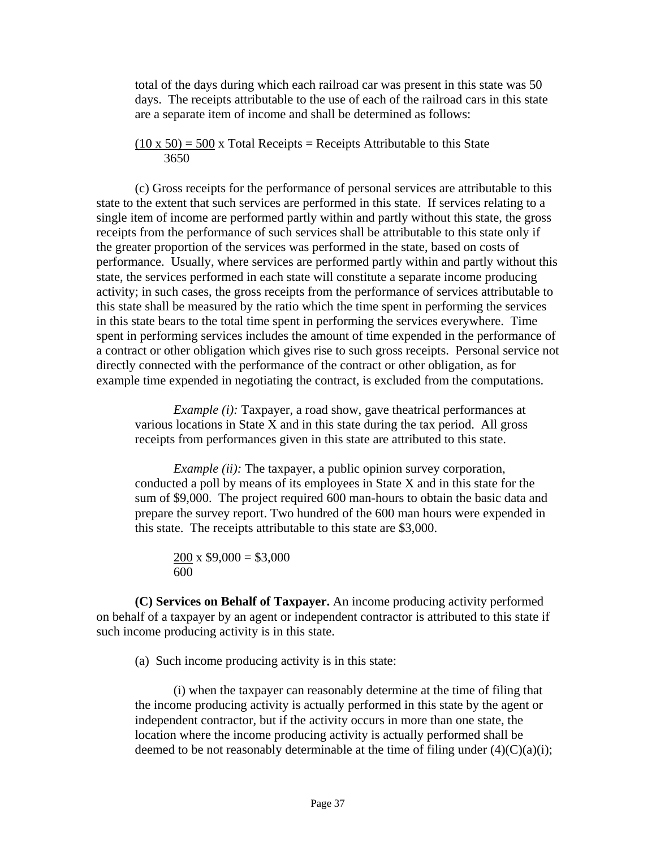total of the days during which each railroad car was present in this state was 50 days. The receipts attributable to the use of each of the railroad cars in this state are a separate item of income and shall be determined as follows:

 $(10 \times 50) = 500 \times$  Total Receipts = Receipts Attributable to this State 3650

 (c) Gross receipts for the performance of personal services are attributable to this state to the extent that such services are performed in this state. If services relating to a single item of income are performed partly within and partly without this state, the gross receipts from the performance of such services shall be attributable to this state only if the greater proportion of the services was performed in the state, based on costs of performance. Usually, where services are performed partly within and partly without this state, the services performed in each state will constitute a separate income producing activity; in such cases, the gross receipts from the performance of services attributable to this state shall be measured by the ratio which the time spent in performing the services in this state bears to the total time spent in performing the services everywhere. Time spent in performing services includes the amount of time expended in the performance of a contract or other obligation which gives rise to such gross receipts. Personal service not directly connected with the performance of the contract or other obligation, as for example time expended in negotiating the contract, is excluded from the computations.

*Example (i):* Taxpayer, a road show, gave theatrical performances at various locations in State X and in this state during the tax period. All gross receipts from performances given in this state are attributed to this state.

*Example (ii):* The taxpayer, a public opinion survey corporation, conducted a poll by means of its employees in State X and in this state for the sum of \$9,000. The project required 600 man-hours to obtain the basic data and prepare the survey report. Two hundred of the 600 man hours were expended in this state. The receipts attributable to this state are \$3,000.

 $200 \times $9,000 = $3,000$ 600

**(C) Services on Behalf of Taxpayer.** An income producing activity performed on behalf of a taxpayer by an agent or independent contractor is attributed to this state if such income producing activity is in this state.

(a) Such income producing activity is in this state:

(i) when the taxpayer can reasonably determine at the time of filing that the income producing activity is actually performed in this state by the agent or independent contractor, but if the activity occurs in more than one state, the location where the income producing activity is actually performed shall be deemed to be not reasonably determinable at the time of filing under  $(4)(C)(a)(i)$ ;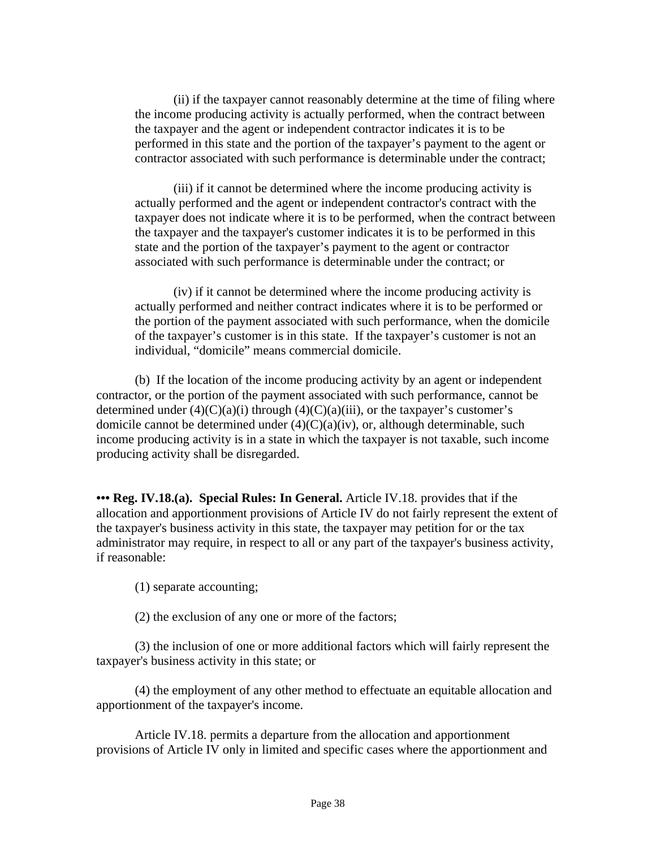(ii) if the taxpayer cannot reasonably determine at the time of filing where the income producing activity is actually performed, when the contract between the taxpayer and the agent or independent contractor indicates it is to be performed in this state and the portion of the taxpayer's payment to the agent or contractor associated with such performance is determinable under the contract;

(iii) if it cannot be determined where the income producing activity is actually performed and the agent or independent contractor's contract with the taxpayer does not indicate where it is to be performed, when the contract between the taxpayer and the taxpayer's customer indicates it is to be performed in this state and the portion of the taxpayer's payment to the agent or contractor associated with such performance is determinable under the contract; or

(iv) if it cannot be determined where the income producing activity is actually performed and neither contract indicates where it is to be performed or the portion of the payment associated with such performance, when the domicile of the taxpayer's customer is in this state. If the taxpayer's customer is not an individual, "domicile" means commercial domicile.

(b) If the location of the income producing activity by an agent or independent contractor, or the portion of the payment associated with such performance, cannot be determined under  $(4)(C)(a)(i)$  through  $(4)(C)(a)(iii)$ , or the taxpayer's customer's domicile cannot be determined under  $(4)(C)(a)(iv)$ , or, although determinable, such income producing activity is in a state in which the taxpayer is not taxable, such income producing activity shall be disregarded.

••• Reg. IV.18.(a). Special Rules: In General. Article IV.18. provides that if the allocation and apportionment provisions of Article IV do not fairly represent the extent of the taxpayer's business activity in this state, the taxpayer may petition for or the tax administrator may require, in respect to all or any part of the taxpayer's business activity, if reasonable:

(1) separate accounting;

(2) the exclusion of any one or more of the factors;

 (3) the inclusion of one or more additional factors which will fairly represent the taxpayer's business activity in this state; or

 (4) the employment of any other method to effectuate an equitable allocation and apportionment of the taxpayer's income.

 Article IV.18. permits a departure from the allocation and apportionment provisions of Article IV only in limited and specific cases where the apportionment and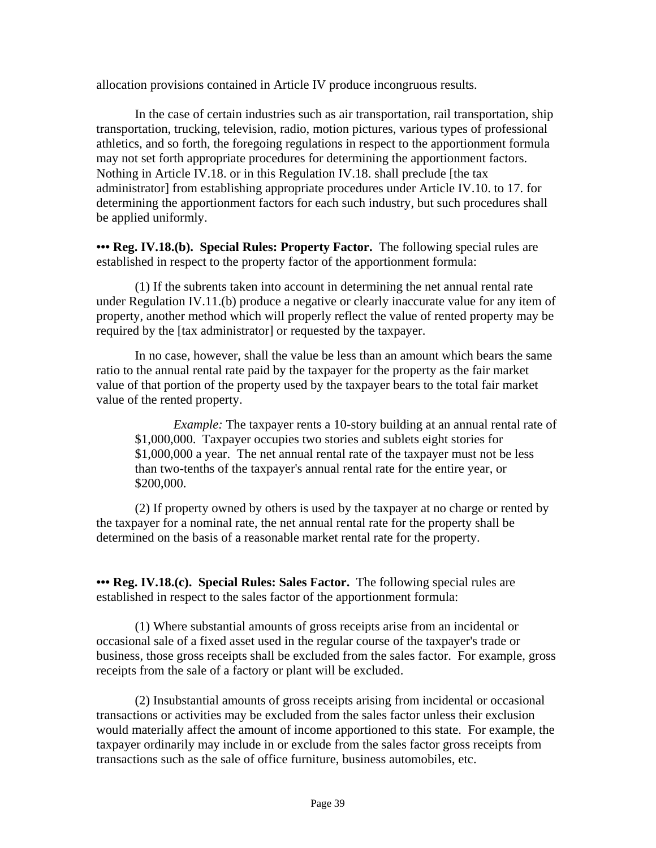allocation provisions contained in Article IV produce incongruous results.

 In the case of certain industries such as air transportation, rail transportation, ship transportation, trucking, television, radio, motion pictures, various types of professional athletics, and so forth, the foregoing regulations in respect to the apportionment formula may not set forth appropriate procedures for determining the apportionment factors. Nothing in Article IV.18. or in this Regulation IV.18. shall preclude [the tax administrator] from establishing appropriate procedures under Article IV.10. to 17. for determining the apportionment factors for each such industry, but such procedures shall be applied uniformly.

**••• Reg. IV.18.(b). Special Rules: Property Factor.** The following special rules are established in respect to the property factor of the apportionment formula:

 (1) If the subrents taken into account in determining the net annual rental rate under Regulation IV.11.(b) produce a negative or clearly inaccurate value for any item of property, another method which will properly reflect the value of rented property may be required by the [tax administrator] or requested by the taxpayer.

 In no case, however, shall the value be less than an amount which bears the same ratio to the annual rental rate paid by the taxpayer for the property as the fair market value of that portion of the property used by the taxpayer bears to the total fair market value of the rented property.

*Example:* The taxpayer rents a 10-story building at an annual rental rate of \$1,000,000. Taxpayer occupies two stories and sublets eight stories for \$1,000,000 a year. The net annual rental rate of the taxpayer must not be less than two-tenths of the taxpayer's annual rental rate for the entire year, or \$200,000.

 (2) If property owned by others is used by the taxpayer at no charge or rented by the taxpayer for a nominal rate, the net annual rental rate for the property shall be determined on the basis of a reasonable market rental rate for the property.

**••• Reg. IV.18.(c). Special Rules: Sales Factor.** The following special rules are established in respect to the sales factor of the apportionment formula:

 (1) Where substantial amounts of gross receipts arise from an incidental or occasional sale of a fixed asset used in the regular course of the taxpayer's trade or business, those gross receipts shall be excluded from the sales factor. For example, gross receipts from the sale of a factory or plant will be excluded.

 (2) Insubstantial amounts of gross receipts arising from incidental or occasional transactions or activities may be excluded from the sales factor unless their exclusion would materially affect the amount of income apportioned to this state. For example, the taxpayer ordinarily may include in or exclude from the sales factor gross receipts from transactions such as the sale of office furniture, business automobiles, etc.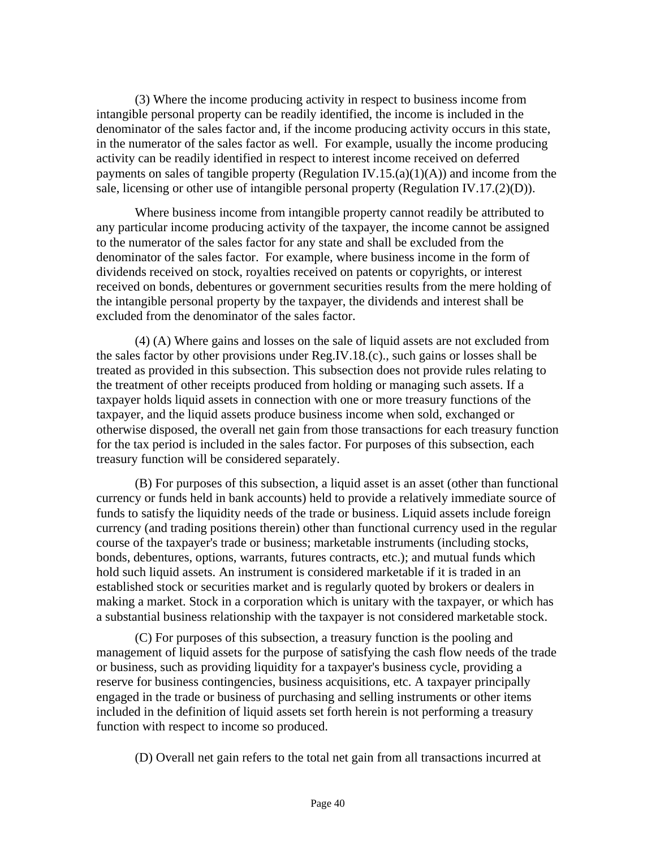(3) Where the income producing activity in respect to business income from intangible personal property can be readily identified, the income is included in the denominator of the sales factor and, if the income producing activity occurs in this state, in the numerator of the sales factor as well. For example, usually the income producing activity can be readily identified in respect to interest income received on deferred payments on sales of tangible property (Regulation IV.15.(a)(1)(A)) and income from the sale, licensing or other use of intangible personal property (Regulation IV.17.(2)(D)).

 Where business income from intangible property cannot readily be attributed to any particular income producing activity of the taxpayer, the income cannot be assigned to the numerator of the sales factor for any state and shall be excluded from the denominator of the sales factor. For example, where business income in the form of dividends received on stock, royalties received on patents or copyrights, or interest received on bonds, debentures or government securities results from the mere holding of the intangible personal property by the taxpayer, the dividends and interest shall be excluded from the denominator of the sales factor.

(4) (A) Where gains and losses on the sale of liquid assets are not excluded from the sales factor by other provisions under Reg.IV.18.(c)., such gains or losses shall be treated as provided in this subsection. This subsection does not provide rules relating to the treatment of other receipts produced from holding or managing such assets. If a taxpayer holds liquid assets in connection with one or more treasury functions of the taxpayer, and the liquid assets produce business income when sold, exchanged or otherwise disposed, the overall net gain from those transactions for each treasury function for the tax period is included in the sales factor. For purposes of this subsection, each treasury function will be considered separately.

(B) For purposes of this subsection, a liquid asset is an asset (other than functional currency or funds held in bank accounts) held to provide a relatively immediate source of funds to satisfy the liquidity needs of the trade or business. Liquid assets include foreign currency (and trading positions therein) other than functional currency used in the regular course of the taxpayer's trade or business; marketable instruments (including stocks, bonds, debentures, options, warrants, futures contracts, etc.); and mutual funds which hold such liquid assets. An instrument is considered marketable if it is traded in an established stock or securities market and is regularly quoted by brokers or dealers in making a market. Stock in a corporation which is unitary with the taxpayer, or which has a substantial business relationship with the taxpayer is not considered marketable stock.

(C) For purposes of this subsection, a treasury function is the pooling and management of liquid assets for the purpose of satisfying the cash flow needs of the trade or business, such as providing liquidity for a taxpayer's business cycle, providing a reserve for business contingencies, business acquisitions, etc. A taxpayer principally engaged in the trade or business of purchasing and selling instruments or other items included in the definition of liquid assets set forth herein is not performing a treasury function with respect to income so produced.

(D) Overall net gain refers to the total net gain from all transactions incurred at